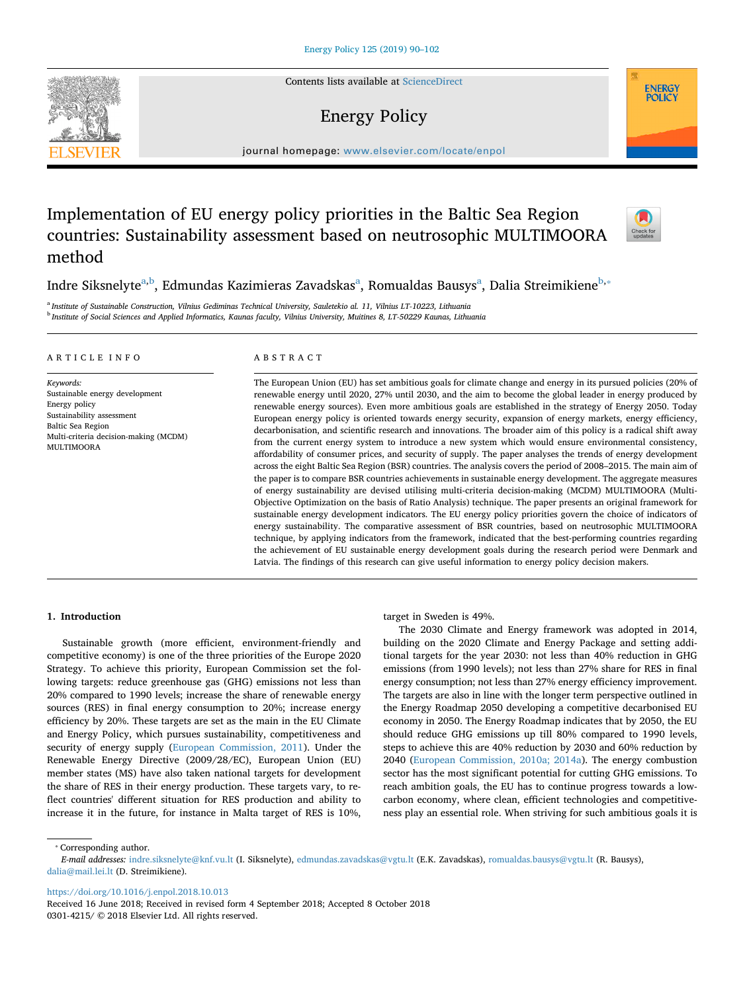Contents lists available at [ScienceDirect](http://www.sciencedirect.com/science/journal/03014215)

## Energy Policy

journal homepage: [www.elsevier.com/locate/enpol](https://www.elsevier.com/locate/enpol)

# Implementation of EU energy policy priorities in the Baltic Sea Region countries: Sustainability assessment based on neutrosophic MULTIMOORA method



**ENERGY POLIC** 

Indre Siksnelyte<sup>[a](#page-0-0)[,b](#page-0-1)</sup>, Edmundas Kazimieras Zavadskas<sup>a</sup>, Romualdas Bausys<sup>a</sup>, Dalia Streimikiene<sup>[b,](#page-0-1)</sup>\*

<span id="page-0-1"></span><span id="page-0-0"></span><sup>a</sup> *Institute of Sustainable Construction, Vilnius Gediminas Technical University, Sauletekio al. 11, Vilnius LT-10223, Lithuania* <sup>b</sup> *Institute of Social Sciences and Applied Informatics, Kaunas faculty, Vilnius University, Muitines 8, LT-50229 Kaunas, Lithuania*

#### ARTICLE INFO

*Keywords:* Sustainable energy development Energy policy Sustainability assessment Baltic Sea Region Multi-criteria decision-making (MCDM) MULTIMOORA

## ABSTRACT

The European Union (EU) has set ambitious goals for climate change and energy in its pursued policies (20% of renewable energy until 2020, 27% until 2030, and the aim to become the global leader in energy produced by renewable energy sources). Even more ambitious goals are established in the strategy of Energy 2050. Today European energy policy is oriented towards energy security, expansion of energy markets, energy efficiency, decarbonisation, and scientific research and innovations. The broader aim of this policy is a radical shift away from the current energy system to introduce a new system which would ensure environmental consistency, affordability of consumer prices, and security of supply. The paper analyses the trends of energy development across the eight Baltic Sea Region (BSR) countries. The analysis covers the period of 2008–2015. The main aim of the paper is to compare BSR countries achievements in sustainable energy development. The aggregate measures of energy sustainability are devised utilising multi-criteria decision-making (MCDM) MULTIMOORA (Multi-Objective Optimization on the basis of Ratio Analysis) technique. The paper presents an original framework for sustainable energy development indicators. The EU energy policy priorities govern the choice of indicators of energy sustainability. The comparative assessment of BSR countries, based on neutrosophic MULTIMOORA technique, by applying indicators from the framework, indicated that the best-performing countries regarding the achievement of EU sustainable energy development goals during the research period were Denmark and Latvia. The findings of this research can give useful information to energy policy decision makers.

## **1. Introduction**

Sustainable growth (more efficient, environment-friendly and competitive economy) is one of the three priorities of the Europe 2020 Strategy. To achieve this priority, European Commission set the following targets: reduce greenhouse gas (GHG) emissions not less than 20% compared to 1990 levels; increase the share of renewable energy sources (RES) in final energy consumption to 20%; increase energy efficiency by 20%. These targets are set as the main in the EU Climate and Energy Policy, which pursues sustainability, competitiveness and security of energy supply [\(European Commission, 2011\)](#page-11-0). Under the Renewable Energy Directive (2009/28/EC), European Union (EU) member states (MS) have also taken national targets for development the share of RES in their energy production. These targets vary, to reflect countries' different situation for RES production and ability to increase it in the future, for instance in Malta target of RES is 10%,

target in Sweden is 49%.

The 2030 Climate and Energy framework was adopted in 2014, building on the 2020 Climate and Energy Package and setting additional targets for the year 2030: not less than 40% reduction in GHG emissions (from 1990 levels); not less than 27% share for RES in final energy consumption; not less than 27% energy efficiency improvement. The targets are also in line with the longer term perspective outlined in the Energy Roadmap 2050 developing a competitive decarbonised EU economy in 2050. The Energy Roadmap indicates that by 2050, the EU should reduce GHG emissions up till 80% compared to 1990 levels, steps to achieve this are 40% reduction by 2030 and 60% reduction by 2040 ([European Commission, 2010a; 2014a\)](#page-11-1). The energy combustion sector has the most significant potential for cutting GHG emissions. To reach ambition goals, the EU has to continue progress towards a lowcarbon economy, where clean, efficient technologies and competitiveness play an essential role. When striving for such ambitious goals it is

<span id="page-0-2"></span>⁎ Corresponding author.

<https://doi.org/10.1016/j.enpol.2018.10.013>

*E-mail addresses:* [indre.siksnelyte@knf.vu.lt](mailto:indre.siksnelyte@knf.vu.lt) (I. Siksnelyte), [edmundas.zavadskas@vgtu.lt](mailto:edmundas.zavadskas@vgtu.lt) (E.K. Zavadskas), [romualdas.bausys@vgtu.lt](mailto:romualdas.bausys@vgtu.lt) (R. Bausys), [dalia@mail.lei.lt](mailto:dalia@mail.lei.lt) (D. Streimikiene).

Received 16 June 2018; Received in revised form 4 September 2018; Accepted 8 October 2018 0301-4215/ © 2018 Elsevier Ltd. All rights reserved.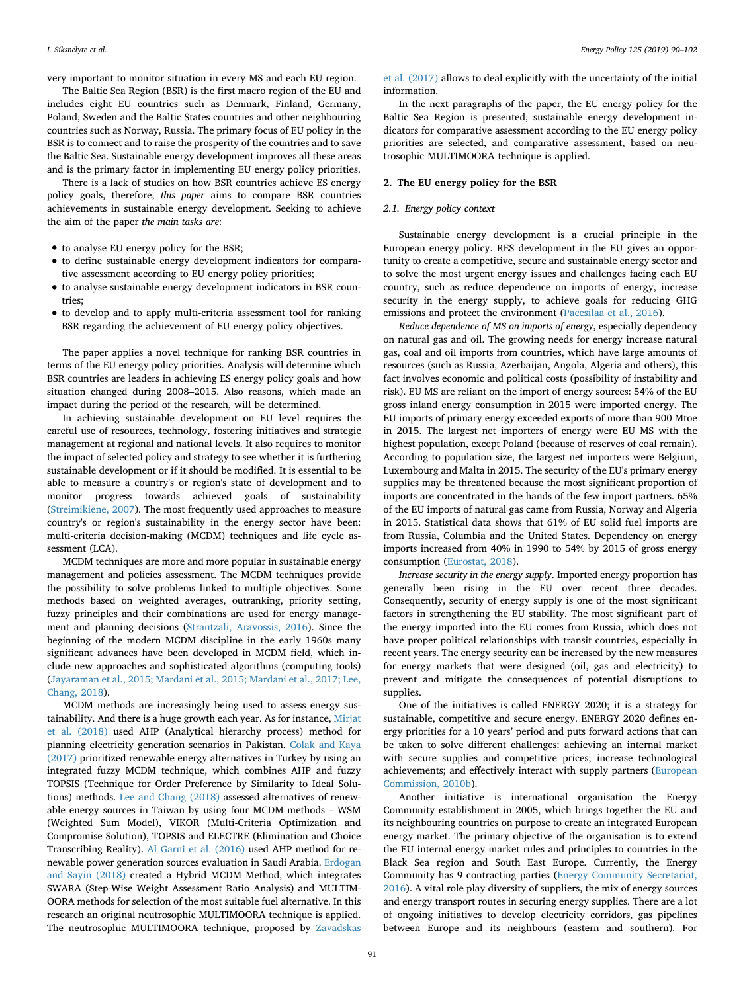very important to monitor situation in every MS and each EU region.

The Baltic Sea Region (BSR) is the first macro region of the EU and includes eight EU countries such as Denmark, Finland, Germany, Poland, Sweden and the Baltic States countries and other neighbouring countries such as Norway, Russia. The primary focus of EU policy in the BSR is to connect and to raise the prosperity of the countries and to save the Baltic Sea. Sustainable energy development improves all these areas and is the primary factor in implementing EU energy policy priorities.

There is a lack of studies on how BSR countries achieve ES energy policy goals, therefore, *this paper* aims to compare BSR countries achievements in sustainable energy development. Seeking to achieve the aim of the paper *the main tasks are*:

- to analyse EU energy policy for the BSR;
- to define sustainable energy development indicators for comparative assessment according to EU energy policy priorities;
- to analyse sustainable energy development indicators in BSR countries;
- to develop and to apply multi-criteria assessment tool for ranking BSR regarding the achievement of EU energy policy objectives.

The paper applies a novel technique for ranking BSR countries in terms of the EU energy policy priorities. Analysis will determine which BSR countries are leaders in achieving ES energy policy goals and how situation changed during 2008–2015. Also reasons, which made an impact during the period of the research, will be determined.

In achieving sustainable development on EU level requires the careful use of resources, technology, fostering initiatives and strategic management at regional and national levels. It also requires to monitor the impact of selected policy and strategy to see whether it is furthering sustainable development or if it should be modified. It is essential to be able to measure a country's or region's state of development and to monitor progress towards achieved goals of sustainability ([Streimikiene, 2007\)](#page-12-0). The most frequently used approaches to measure country's or region's sustainability in the energy sector have been: multi-criteria decision-making (MCDM) techniques and life cycle assessment (LCA).

MCDM techniques are more and more popular in sustainable energy management and policies assessment. The MCDM techniques provide the possibility to solve problems linked to multiple objectives. Some methods based on weighted averages, outranking, priority setting, fuzzy principles and their combinations are used for energy management and planning decisions ([Strantzali, Aravossis, 2016](#page-12-1)). Since the beginning of the modern MCDM discipline in the early 1960s many significant advances have been developed in MCDM field, which include new approaches and sophisticated algorithms (computing tools) ([Jayaraman et al., 2015; Mardani et al., 2015; Mardani et al., 2017; Lee,](#page-11-2) [Chang, 2018\)](#page-11-2).

MCDM methods are increasingly being used to assess energy sustainability. And there is a huge growth each year. As for instance, [Mirjat](#page-11-3) [et al. \(2018\)](#page-11-3) used AHP (Analytical hierarchy process) method for planning electricity generation scenarios in Pakistan. [Colak and Kaya](#page-11-4) [\(2017\)](#page-11-4) prioritized renewable energy alternatives in Turkey by using an integrated fuzzy MCDM technique, which combines AHP and fuzzy TOPSIS (Technique for Order Preference by Similarity to Ideal Solutions) methods. [Lee and Chang \(2018\)](#page-11-5) assessed alternatives of renewable energy sources in Taiwan by using four MCDM methods – WSM (Weighted Sum Model), VIKOR (Multi-Criteria Optimization and Compromise Solution), TOPSIS and ELECTRE (Elimination and Choice Transcribing Reality). [Al Garni et al. \(2016\)](#page-11-6) used AHP method for renewable power generation sources evaluation in Saudi Arabia. [Erdogan](#page-11-7) [and Sayin \(2018\)](#page-11-7) created a Hybrid MCDM Method, which integrates SWARA (Step-Wise Weight Assessment Ratio Analysis) and MULTIM-OORA methods for selection of the most suitable fuel alternative. In this research an original neutrosophic MULTIMOORA technique is applied. The neutrosophic MULTIMOORA technique, proposed by [Zavadskas](#page-12-2)

[et al. \(2017\)](#page-12-2) allows to deal explicitly with the uncertainty of the initial information.

In the next paragraphs of the paper, the EU energy policy for the Baltic Sea Region is presented, sustainable energy development indicators for comparative assessment according to the EU energy policy priorities are selected, and comparative assessment, based on neutrosophic MULTIMOORA technique is applied.

## **2. The EU energy policy for the BSR**

## *2.1. Energy policy context*

Sustainable energy development is a crucial principle in the European energy policy. RES development in the EU gives an opportunity to create a competitive, secure and sustainable energy sector and to solve the most urgent energy issues and challenges facing each EU country, such as reduce dependence on imports of energy, increase security in the energy supply, to achieve goals for reducing GHG emissions and protect the environment ([Pacesilaa et al., 2016\)](#page-12-3).

*Reduce dependence of MS on imports of energy*, especially dependency on natural gas and oil. The growing needs for energy increase natural gas, coal and oil imports from countries, which have large amounts of resources (such as Russia, Azerbaijan, Angola, Algeria and others), this fact involves economic and political costs (possibility of instability and risk). EU MS are reliant on the import of energy sources: 54% of the EU gross inland energy consumption in 2015 were imported energy. The EU imports of primary energy exceeded exports of more than 900 Mtoe in 2015. The largest net importers of energy were EU MS with the highest population, except Poland (because of reserves of coal remain). According to population size, the largest net importers were Belgium, Luxembourg and Malta in 2015. The security of the EU's primary energy supplies may be threatened because the most significant proportion of imports are concentrated in the hands of the few import partners. 65% of the EU imports of natural gas came from Russia, Norway and Algeria in 2015. Statistical data shows that 61% of EU solid fuel imports are from Russia, Columbia and the United States. Dependency on energy imports increased from 40% in 1990 to 54% by 2015 of gross energy consumption ([Eurostat, 2018\)](#page-11-8).

*Increase security in the energy supply*. Imported energy proportion has generally been rising in the EU over recent three decades. Consequently, security of energy supply is one of the most significant factors in strengthening the EU stability. The most significant part of the energy imported into the EU comes from Russia, which does not have proper political relationships with transit countries, especially in recent years. The energy security can be increased by the new measures for energy markets that were designed (oil, gas and electricity) to prevent and mitigate the consequences of potential disruptions to supplies.

One of the initiatives is called ENERGY 2020; it is a strategy for sustainable, competitive and secure energy. ENERGY 2020 defines energy priorities for a 10 years' period and puts forward actions that can be taken to solve different challenges: achieving an internal market with secure supplies and competitive prices; increase technological achievements; and effectively interact with supply partners [\(European](#page-11-9) [Commission, 2010b\)](#page-11-9).

Another initiative is international organisation the Energy Community establishment in 2005, which brings together the EU and its neighbouring countries on purpose to create an integrated European energy market. The primary objective of the organisation is to extend the EU internal energy market rules and principles to countries in the Black Sea region and South East Europe. Currently, the Energy Community has 9 contracting parties ([Energy Community Secretariat,](#page-11-10) [2016\)](#page-11-10). A vital role play diversity of suppliers, the mix of energy sources and energy transport routes in securing energy supplies. There are a lot of ongoing initiatives to develop electricity corridors, gas pipelines between Europe and its neighbours (eastern and southern). For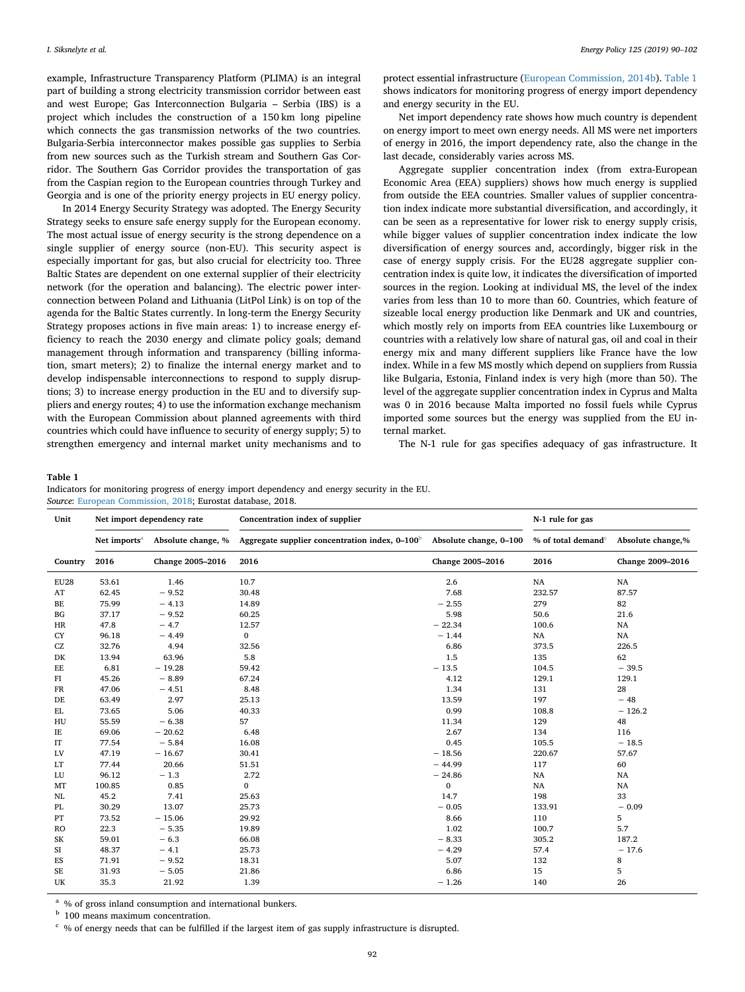example, Infrastructure Transparency Platform (PLIMA) is an integral part of building a strong electricity transmission corridor between east and west Europe; Gas Interconnection Bulgaria – Serbia (IBS) is a project which includes the construction of a 150 km long pipeline which connects the gas transmission networks of the two countries. Bulgaria-Serbia interconnector makes possible gas supplies to Serbia from new sources such as the Turkish stream and Southern Gas Corridor. The Southern Gas Corridor provides the transportation of gas from the Caspian region to the European countries through Turkey and Georgia and is one of the priority energy projects in EU energy policy.

In 2014 Energy Security Strategy was adopted. The Energy Security Strategy seeks to ensure safe energy supply for the European economy. The most actual issue of energy security is the strong dependence on a single supplier of energy source (non-EU). This security aspect is especially important for gas, but also crucial for electricity too. Three Baltic States are dependent on one external supplier of their electricity network (for the operation and balancing). The electric power interconnection between Poland and Lithuania (LitPol Link) is on top of the agenda for the Baltic States currently. In long-term the Energy Security Strategy proposes actions in five main areas: 1) to increase energy efficiency to reach the 2030 energy and climate policy goals; demand management through information and transparency (billing information, smart meters); 2) to finalize the internal energy market and to develop indispensable interconnections to respond to supply disruptions; 3) to increase energy production in the EU and to diversify suppliers and energy routes; 4) to use the information exchange mechanism with the European Commission about planned agreements with third countries which could have influence to security of energy supply; 5) to strengthen emergency and internal market unity mechanisms and to

protect essential infrastructure [\(European Commission, 2014b](#page-11-11)). [Table 1](#page-2-0) shows indicators for monitoring progress of energy import dependency and energy security in the EU.

Net import dependency rate shows how much country is dependent on energy import to meet own energy needs. All MS were net importers of energy in 2016, the import dependency rate, also the change in the last decade, considerably varies across MS.

Aggregate supplier concentration index (from extra-European Economic Area (EEA) suppliers) shows how much energy is supplied from outside the EEA countries. Smaller values of supplier concentration index indicate more substantial diversification, and accordingly, it can be seen as a representative for lower risk to energy supply crisis, while bigger values of supplier concentration index indicate the low diversification of energy sources and, accordingly, bigger risk in the case of energy supply crisis. For the EU28 aggregate supplier concentration index is quite low, it indicates the diversification of imported sources in the region. Looking at individual MS, the level of the index varies from less than 10 to more than 60. Countries, which feature of sizeable local energy production like Denmark and UK and countries, which mostly rely on imports from EEA countries like Luxembourg or countries with a relatively low share of natural gas, oil and coal in their energy mix and many different suppliers like France have the low index. While in a few MS mostly which depend on suppliers from Russia like Bulgaria, Estonia, Finland index is very high (more than 50). The level of the aggregate supplier concentration index in Cyprus and Malta was 0 in 2016 because Malta imported no fossil fuels while Cyprus imported some sources but the energy was supplied from the EU internal market.

The N-1 rule for gas specifies adequacy of gas infrastructure. It

<span id="page-2-0"></span>**Table 1**

Indicators for monitoring progress of energy import dependency and energy security in the EU. *Source*: [European Commission, 2018;](#page-11-12) Eurostat database, 2018.

| Unit     |                          | Net import dependency rate | Concentration index of supplier                         |                        | N-1 rule for gas               |                   |
|----------|--------------------------|----------------------------|---------------------------------------------------------|------------------------|--------------------------------|-------------------|
|          | Net imports <sup>a</sup> | Absolute change, %         | Aggregate supplier concentration index, $0-100^{\circ}$ | Absolute change, 0-100 | % of total demand <sup>c</sup> | Absolute change,% |
| Country  | 2016                     | Change 2005-2016           | 2016                                                    | Change 2005-2016       | 2016                           | Change 2009-2016  |
| EU28     | 53.61                    | 1.46                       | 10.7                                                    | 2.6                    | NA                             | NA                |
| AT       | 62.45                    | $-9.52$                    | 30.48                                                   | 7.68                   | 232.57                         | 87.57             |
| BE       | 75.99                    | $-4.13$                    | 14.89                                                   | $-2.55$                | 279                            | 82                |
| BG       | 37.17                    | $-9.52$                    | 60.25                                                   | 5.98                   | 50.6                           | 21.6              |
| HR       | 47.8                     | $-4.7$                     | 12.57                                                   | $-22.34$               | 100.6                          | NA                |
| CY       | 96.18                    | $-4.49$                    | $\bf{0}$                                                | $-1.44$                | NA                             | NA                |
| CZ       | 32.76                    | 4.94                       | 32.56                                                   | 6.86                   | 373.5                          | 226.5             |
| DK       | 13.94                    | 63.96                      | 5.8                                                     | 1.5                    | 135                            | 62                |
| $\rm EE$ | 6.81                     | $-19.28$                   | 59.42                                                   | $-13.5$                | 104.5                          | $-39.5$           |
| FI       | 45.26                    | $-8.89$                    | 67.24                                                   | 4.12                   | 129.1                          | 129.1             |
| FR       | 47.06                    | $-4.51$                    | 8.48                                                    | 1.34                   | 131                            | 28                |
| DE       | 63.49                    | 2.97                       | 25.13                                                   | 13.59                  | 197                            | $-48$             |
| EL.      | 73.65                    | 5.06                       | 40.33                                                   | 0.99                   | 108.8                          | $-126.2$          |
| HU       | 55.59                    | $-6.38$                    | 57                                                      | 11.34                  | 129                            | 48                |
| IE       | 69.06                    | $-20.62$                   | 6.48                                                    | 2.67                   | 134                            | 116               |
| IT       | 77.54                    | $-5.84$                    | 16.08                                                   | 0.45                   | 105.5                          | $-18.5$           |
| LV       | 47.19                    | $-16.67$                   | 30.41                                                   | $-18.56$               | 220.67                         | 57.67             |
| LT       | 77.44                    | 20.66                      | 51.51                                                   | $-44.99$               | 117                            | 60                |
| LU       | 96.12                    | $-1.3$                     | 2.72                                                    | $-24.86$               | NA                             | NA                |
| MT       | 100.85                   | 0.85                       | $\bf{0}$                                                | $\boldsymbol{0}$       | NA                             | NA                |
| NL       | 45.2                     | 7.41                       | 25.63                                                   | 14.7                   | 198                            | 33                |
| PL       | 30.29                    | 13.07                      | 25.73                                                   | $-0.05$                | 133.91                         | $-0.09$           |
| PT       | 73.52                    | $-15.06$                   | 29.92                                                   | 8.66                   | 110                            | 5                 |
| RO       | 22.3                     | $-5.35$                    | 19.89                                                   | 1.02                   | 100.7                          | 5.7               |
| SK       | 59.01                    | $-6.3$                     | 66.08                                                   | $-8.33$                | 305.2                          | 187.2             |
| SI       | 48.37                    | $-4.1$                     | 25.73                                                   | $-4.29$                | 57.4                           | $-17.6$           |
| ES       | 71.91                    | $-9.52$                    | 18.31                                                   | 5.07                   | 132                            | 8                 |
| SE       | 31.93                    | $-5.05$                    | 21.86                                                   | 6.86                   | 15                             | 5                 |
| UK       | 35.3                     | 21.92                      | 1.39                                                    | $-1.26$                | 140                            | 26                |

<span id="page-2-1"></span><sup>a</sup> % of gross inland consumption and international bunkers.

<span id="page-2-2"></span><sup>b</sup> 100 means maximum concentration.

<span id="page-2-3"></span><sup>c</sup> % of energy needs that can be fulfilled if the largest item of gas supply infrastructure is disrupted.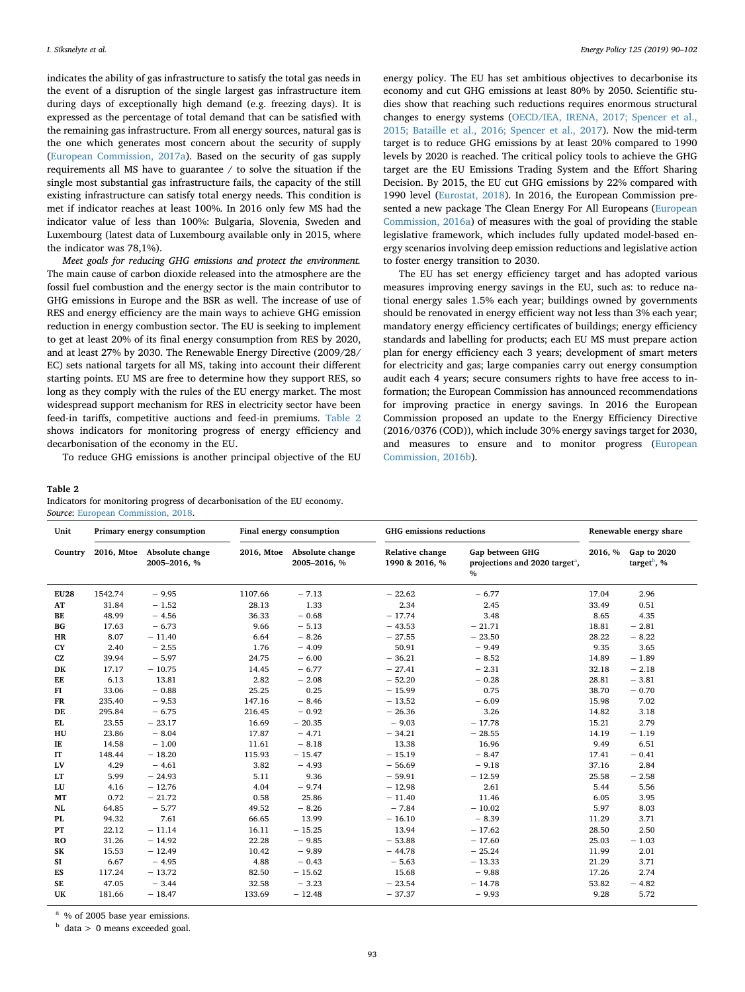indicates the ability of gas infrastructure to satisfy the total gas needs in the event of a disruption of the single largest gas infrastructure item during days of exceptionally high demand (e.g. freezing days). It is expressed as the percentage of total demand that can be satisfied with the remaining gas infrastructure. From all energy sources, natural gas is the one which generates most concern about the security of supply ([European Commission, 2017a](#page-11-13)). Based on the security of gas supply requirements all MS have to guarantee / to solve the situation if the single most substantial gas infrastructure fails, the capacity of the still existing infrastructure can satisfy total energy needs. This condition is met if indicator reaches at least 100%. In 2016 only few MS had the indicator value of less than 100%: Bulgaria, Slovenia, Sweden and Luxembourg (latest data of Luxembourg available only in 2015, where the indicator was 78,1%).

*Meet goals for reducing GHG emissions and protect the environment.* The main cause of carbon dioxide released into the atmosphere are the fossil fuel combustion and the energy sector is the main contributor to GHG emissions in Europe and the BSR as well. The increase of use of RES and energy efficiency are the main ways to achieve GHG emission reduction in energy combustion sector. The EU is seeking to implement to get at least 20% of its final energy consumption from RES by 2020, and at least 27% by 2030. The Renewable Energy Directive (2009/28/ EC) sets national targets for all MS, taking into account their different starting points. EU MS are free to determine how they support RES, so long as they comply with the rules of the EU energy market. The most widespread support mechanism for RES in electricity sector have been feed-in tariffs, competitive auctions and feed-in premiums. [Table 2](#page-3-0) shows indicators for monitoring progress of energy efficiency and decarbonisation of the economy in the EU.

To reduce GHG emissions is another principal objective of the EU

energy policy. The EU has set ambitious objectives to decarbonise its economy and cut GHG emissions at least 80% by 2050. Scientific studies show that reaching such reductions requires enormous structural changes to energy systems [\(OECD/IEA, IRENA, 2017; Spencer et al.,](#page-11-14) [2015; Bataille et al., 2016; Spencer et al., 2017\)](#page-11-14). Now the mid-term target is to reduce GHG emissions by at least 20% compared to 1990 levels by 2020 is reached. The critical policy tools to achieve the GHG target are the EU Emissions Trading System and the Effort Sharing Decision. By 2015, the EU cut GHG emissions by 22% compared with 1990 level ([Eurostat, 2018\)](#page-11-8). In 2016, the European Commission presented a new package The Clean Energy For All Europeans [\(European](#page-11-15) [Commission, 2016a](#page-11-15)) of measures with the goal of providing the stable legislative framework, which includes fully updated model-based energy scenarios involving deep emission reductions and legislative action to foster energy transition to 2030.

The EU has set energy efficiency target and has adopted various measures improving energy savings in the EU, such as: to reduce national energy sales 1.5% each year; buildings owned by governments should be renovated in energy efficient way not less than 3% each year; mandatory energy efficiency certificates of buildings; energy efficiency standards and labelling for products; each EU MS must prepare action plan for energy efficiency each 3 years; development of smart meters for electricity and gas; large companies carry out energy consumption audit each 4 years; secure consumers rights to have free access to information; the European Commission has announced recommendations for improving practice in energy savings. In 2016 the European Commission proposed an update to the Energy Efficiency Directive (2016/0376 (COD)), which include 30% energy savings target for 2030, and measures to ensure and to monitor progress [\(European](#page-11-16) [Commission, 2016b\)](#page-11-16).

#### <span id="page-3-0"></span>**Table 2**

Indicators for monitoring progress of decarbonisation of the EU economy. *Source*: [European Commission, 2018.](#page-11-12)

| Unit             |         | Primary energy consumption                 |         | Final energy consumption                   | <b>GHG</b> emissions reductions   |                                                                       | Renewable energy share |                                        |
|------------------|---------|--------------------------------------------|---------|--------------------------------------------|-----------------------------------|-----------------------------------------------------------------------|------------------------|----------------------------------------|
| Country          |         | 2016, Mtoe Absolute change<br>2005-2016, % |         | 2016, Mtoe Absolute change<br>2005-2016, % | Relative change<br>1990 & 2016, % | Gap between GHG<br>projections and 2020 target <sup>a</sup> ,<br>$\%$ | 2016, %                | Gap to 2020<br>target <sup>b</sup> , % |
| <b>EU28</b>      | 1542.74 | $-9.95$                                    | 1107.66 | $-7.13$                                    | $-22.62$                          | $-6.77$                                                               | 17.04                  | 2.96                                   |
| AT               | 31.84   | $-1.52$                                    | 28.13   | 1.33                                       | 2.34                              | 2.45                                                                  | 33.49                  | 0.51                                   |
| BE               | 48.99   | $-4.56$                                    | 36.33   | $-0.68$                                    | $-17.74$                          | 3.48                                                                  | 8.65                   | 4.35                                   |
| BG               | 17.63   | $-6.73$                                    | 9.66    | $-5.13$                                    | $-43.53$                          | $-21.71$                                                              | 18.81                  | $-2.81$                                |
| HR               | 8.07    | $-11.40$                                   | 6.64    | $-8.26$                                    | $-27.55$                          | $-23.50$                                                              | 28.22                  | $-8.22$                                |
| ${\bf C}{\bf Y}$ | 2.40    | $-2.55$                                    | 1.76    | $-4.09$                                    | 50.91                             | $-9.49$                                                               | 9.35                   | 3.65                                   |
| CZ               | 39.94   | $-5.97$                                    | 24.75   | $-6.00$                                    | $-36.21$                          | $-8.52$                                                               | 14.89                  | $-1.89$                                |
| DK               | 17.17   | $-10.75$                                   | 14.45   | $-6.77$                                    | $-27.41$                          | $-2.31$                                                               | 32.18                  | $-2.18$                                |
| EE               | 6.13    | 13.81                                      | 2.82    | $-2.08$                                    | $-52.20$                          | $-0.28$                                                               | 28.81                  | $-3.81$                                |
| FI               | 33.06   | $-0.88$                                    | 25.25   | 0.25                                       | $-15.99$                          | 0.75                                                                  | 38.70                  | $-0.70$                                |
| FR               | 235.40  | $-9.53$                                    | 147.16  | $-8.46$                                    | $-13.52$                          | $-6.09$                                                               | 15.98                  | 7.02                                   |
| DE               | 295.84  | $-6.75$                                    | 216.45  | $-0.92$                                    | $-26.36$                          | 3.26                                                                  | 14.82                  | 3.18                                   |
| EL.              | 23.55   | $-23.17$                                   | 16.69   | $-20.35$                                   | $-9.03$                           | $-17.78$                                                              | 15.21                  | 2.79                                   |
| HU               | 23.86   | $-8.04$                                    | 17.87   | $-4.71$                                    | $-34.21$                          | $-28.55$                                                              | 14.19                  | $-1.19$                                |
| IE               | 14.58   | $-1.00$                                    | 11.61   | $-8.18$                                    | 13.38                             | 16.96                                                                 | 9.49                   | 6.51                                   |
| IT               | 148.44  | $-18.20$                                   | 115.93  | $-15.47$                                   | $-15.19$                          | $-8.47$                                                               | 17.41                  | $-0.41$                                |
| LV               | 4.29    | $-4.61$                                    | 3.82    | $-4.93$                                    | $-56.69$                          | $-9.18$                                                               | 37.16                  | 2.84                                   |
| LT               | 5.99    | $-24.93$                                   | 5.11    | 9.36                                       | $-59.91$                          | $-12.59$                                                              | 25.58                  | $-2.58$                                |
| LU               | 4.16    | $-12.76$                                   | 4.04    | $-9.74$                                    | $-12.98$                          | 2.61                                                                  | 5.44                   | 5.56                                   |
| MT               | 0.72    | $-21.72$                                   | 0.58    | 25.86                                      | $-11.40$                          | 11.46                                                                 | 6.05                   | 3.95                                   |
| NL               | 64.85   | $-5.77$                                    | 49.52   | $-8.26$                                    | $-7.84$                           | $-10.02$                                                              | 5.97                   | 8.03                                   |
| PL               | 94.32   | 7.61                                       | 66.65   | 13.99                                      | $-16.10$                          | $-8.39$                                                               | 11.29                  | 3.71                                   |
| ${\bf PT}$       | 22.12   | $-11.14$                                   | 16.11   | $-15.25$                                   | 13.94                             | $-17.62$                                                              | 28.50                  | 2.50                                   |
| <b>RO</b>        | 31.26   | $-14.92$                                   | 22.28   | $-9.85$                                    | $-53.88$                          | $-17.60$                                                              | 25.03                  | $-1.03$                                |
| SK               | 15.53   | $-12.49$                                   | 10.42   | $-9.89$                                    | $-44.78$                          | $-25.24$                                                              | 11.99                  | 2.01                                   |
| SI               | 6.67    | $-4.95$                                    | 4.88    | $-0.43$                                    | $-5.63$                           | $-13.33$                                                              | 21.29                  | 3.71                                   |
| ES               | 117.24  | $-13.72$                                   | 82.50   | $-15.62$                                   | 15.68                             | $-9.88$                                                               | 17.26                  | 2.74                                   |
| <b>SE</b>        | 47.05   | $-3.44$                                    | 32.58   | $-3.23$                                    | $-23.54$                          | $-14.78$                                                              | 53.82                  | $-4.82$                                |
| UK               | 181.66  | $-18.47$                                   | 133.69  | $-12.48$                                   | $-37.37$                          | $-9.93$                                                               | 9.28                   | 5.72                                   |

<span id="page-3-1"></span><sup>a</sup> % of 2005 base year emissions.

<span id="page-3-2"></span> $<sup>b</sup>$  data > 0 means exceeded goal.</sup>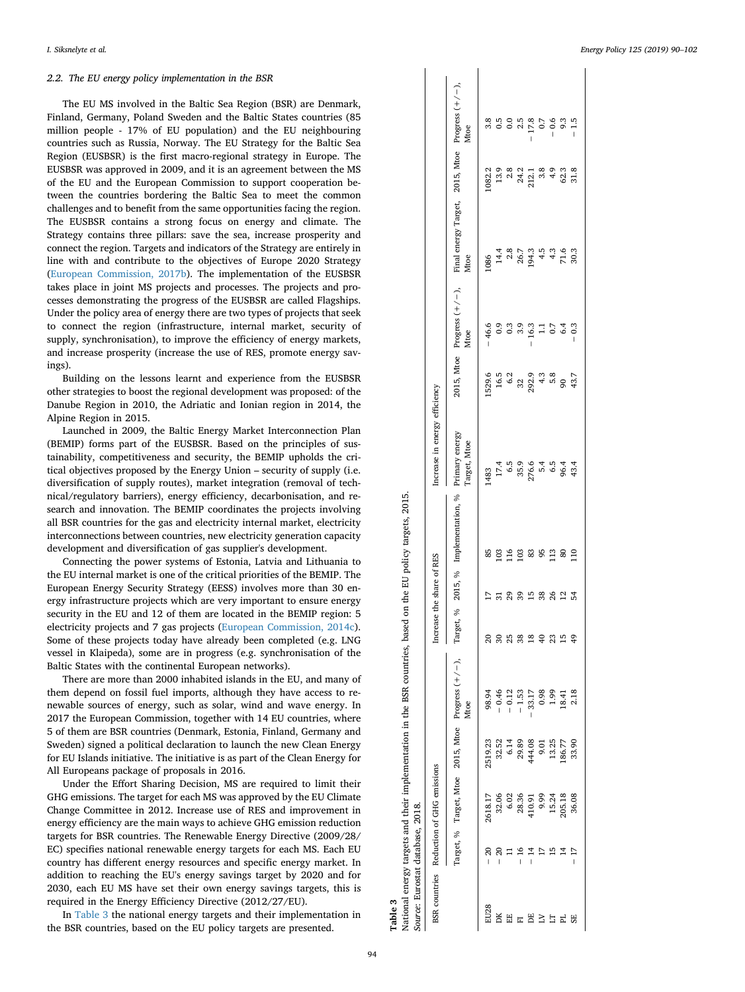#### *2.2. The EU energy policy implementation in the BSR*

The EU MS involved in the Baltic Sea Region (BSR) are Denmark, Finland, Germany, Poland Sweden and the Baltic States countries (85 million people - 17% of EU population) and the EU neighbouring countries such as Russia, Norway. The EU Strategy for the Baltic Sea Region (EUSBSR) is the first macro-regional strategy in Europe. The EUSBSR was approved in 2009, and it is an agreement between the MS of the EU and the European Commission to support cooperation between the countries bordering the Baltic Sea to meet the common challenges and to benefit from the same opportunities facing the region. The EUSBSR contains a strong focus on energy and climate. The Strategy contains three pillars: save the sea, increase prosperity and connect the region. Targets and indicators of the Strategy are entirely in line with and contribute to the objectives of Europe 2020 Strategy ([European Commission, 2017b](#page-11-17)). The implementation of the EUSBSR takes place in joint MS projects and processes. The projects and processes demonstrating the progress of the EUSBSR are called Flagships. Under the policy area of energy there are two types of projects that seek to connect the region (infrastructure, internal market, security of supply, synchronisation), to improve the efficiency of energy markets, and increase prosperity (increase the use of RES, promote energy savings).

Building on the lessons learnt and experience from the EUSBSR other strategies to boost the regional development was proposed: of the Danube Region in 2010, the Adriatic and Ionian region in 2014, the Alpine Region in 2015.

Launched in 2009, the Baltic Energy Market Interconnection Plan (BEMIP) forms part of the EUSBSR. Based on the principles of sustainability, competitiveness and security, the BEMIP upholds the critical objectives proposed by the Energy Union – security of supply (i.e. diversification of supply routes), market integration (removal of technical/regulatory barriers), energy efficiency, decarbonisation, and research and innovation. The BEMIP coordinates the projects involving all BSR countries for the gas and electricity internal market, electricity interconnections between countries, new electricity generation capacity development and diversification of gas supplier's development.

Connecting the power systems of Estonia, Latvia and Lithuania to the EU internal market is one of the critical priorities of the BEMIP. The European Energy Security Strategy (EESS) involves more than 30 energy infrastructure projects which are very important to ensure energy security in the EU and 12 of them are located in the BEMIP region: 5 electricity projects and 7 gas projects [\(European Commission, 2014c](#page-11-18)). Some of these projects today have already been completed (e.g. LNG vessel in Klaipeda), some are in progress (e.g. synchronisation of the Baltic States with the continental European networks).

There are more than 2000 inhabited islands in the EU, and many of them depend on fossil fuel imports, although they have access to renewable sources of energy, such as solar, wind and wave energy. In 2017 the European Commission, together with 14 EU countries, where 5 of them are BSR countries (Denmark, Estonia, Finland, Germany and Sweden) signed a political declaration to launch the new Clean Energy for EU Islands initiative. The initiative is as part of the Clean Energy for All Europeans package of proposals in 2016.

Under the Effort Sharing Decision, MS are required to limit their GHG emissions. The target for each MS was approved by the EU Climate Change Committee in 2012. Increase use of RES and improvement in energy efficiency are the main ways to achieve GHG emission reduction targets for BSR countries. The Renewable Energy Directive (2009/28/ EC) specifies national renewable energy targets for each MS. Each EU country has different energy resources and specific energy market. In addition to reaching the EU's energy savings target by 2020 and for 2030, each EU MS have set their own energy savings targets, this is required in the Energy Efficiency Directive (2012/27/EU).

In [Table 3](#page-4-0) the national energy targets and their implementation in the BSR countries, based on the EU policy targets are presented.

<span id="page-4-0"></span>

| Source: Eurostat database, 2018. |       |                                          |         | National energy targets and their implementation in the BSR countries, based on the EU policy targets, 2015. |                |                           |                           |                                                                                           |                                                      |                                       |                                      |               |                                       |
|----------------------------------|-------|------------------------------------------|---------|--------------------------------------------------------------------------------------------------------------|----------------|---------------------------|---------------------------|-------------------------------------------------------------------------------------------|------------------------------------------------------|---------------------------------------|--------------------------------------|---------------|---------------------------------------|
|                                  |       | BSR countries Reduction of GHG emissions |         |                                                                                                              |                | Increase the share of RES |                           | Increase in energy efficiency                                                             |                                                      |                                       |                                      |               |                                       |
|                                  |       |                                          |         | Target, % Target, Mtoe 2015, Mtoe Progress (+/-),<br>Mtoe                                                    | Target, %<br>I |                           | 2015, % Implementation, % | Primary energy<br>Target, Mtoe                                                            |                                                      | 2015, Mtoe Progress $(+/-)$ ,<br>Mtoe | Final energy Target,<br>Mtoe         |               | 2015, Mtoe Progress $(+/-)$ ,<br>Mtoe |
| <b>EU28</b>                      | $-20$ | 2618.17                                  | 2519.23 | 98.94                                                                                                        | ನ              | 17                        |                           | 1483                                                                                      | 1529.6                                               |                                       | 1086                                 | 1082.2        |                                       |
|                                  | ຊ     | 32.06                                    | 32.52   | $-0.46$                                                                                                      | ಜ              | 51                        | 85<br>103                 | $17.4$<br>$6.5$<br>$276.6$<br>$6.5$<br>$6.5$<br>$6.5$<br>$6.5$<br>$6.5$<br>$6.5$<br>$6.5$ | $16.3$<br>$6.2$<br>$29.3$<br>$7.3$<br>$7.3$<br>$8.3$ |                                       |                                      | 13.9          | 8<br>8 10 0 10 10 10<br>8 10 10 10 10 |
| 띪                                |       | 6.02                                     | 6.14    | $-0.12$                                                                                                      | R              | 29                        |                           |                                                                                           |                                                      |                                       | $14.4$<br>$2.8$<br>$2.5$<br>$19.3$   | $2.8$<br>24.2 |                                       |
|                                  |       | 28.36                                    | 29.89   | $-1.53$                                                                                                      | ္က             |                           | 1988                      |                                                                                           |                                                      |                                       |                                      |               |                                       |
|                                  | $-14$ | 110.91                                   | 444.08  | 33.17                                                                                                        | $\frac{8}{11}$ |                           |                           |                                                                                           |                                                      |                                       |                                      | 212.1         |                                       |
|                                  | 17    | 9.99                                     | 9.01    | 0.98                                                                                                         | $\hat{a}$      |                           |                           |                                                                                           |                                                      |                                       | $4.\overline{3}$<br>$4.\overline{3}$ | $3.8$<br>4.9  |                                       |
| 5                                | 15    | 15.24                                    | 13.25   | 1.99                                                                                                         | ನ              | 85882                     | 113                       |                                                                                           |                                                      | $\frac{1.1}{0.7}$                     |                                      |               | $-0.3$<br>$-1.5$                      |
|                                  |       | 205.18                                   | 186.77  | 18.41                                                                                                        | 음              |                           | 80                        |                                                                                           | $\infty$                                             |                                       | $71.6$<br>30.3                       | 62.3          |                                       |
| 55                               | $-17$ | 36.08                                    | 33.90   | 2.18                                                                                                         | $\frac{a}{2}$  | 54                        | $\overline{10}$           | 43.4                                                                                      | 43.7                                                 | $-0.3$                                |                                      | 31.8          |                                       |
|                                  |       |                                          |         |                                                                                                              |                |                           |                           |                                                                                           |                                                      |                                       |                                      |               |                                       |

94

**Table 3**

 $\overline{1}$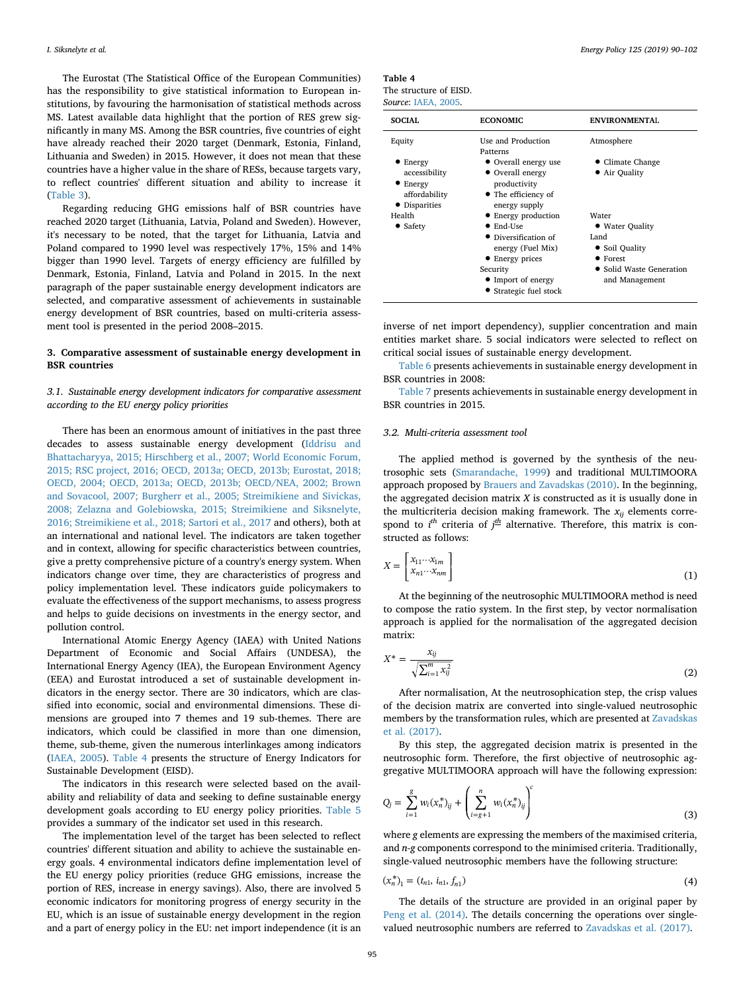The Eurostat (The Statistical Office of the European Communities) has the responsibility to give statistical information to European institutions, by favouring the harmonisation of statistical methods across MS. Latest available data highlight that the portion of RES grew significantly in many MS. Among the BSR countries, five countries of eight have already reached their 2020 target (Denmark, Estonia, Finland, Lithuania and Sweden) in 2015. However, it does not mean that these countries have a higher value in the share of RESs, because targets vary, to reflect countries' different situation and ability to increase it ([Table 3](#page-4-0)).

Regarding reducing GHG emissions half of BSR countries have reached 2020 target (Lithuania, Latvia, Poland and Sweden). However, it's necessary to be noted, that the target for Lithuania, Latvia and Poland compared to 1990 level was respectively 17%, 15% and 14% bigger than 1990 level. Targets of energy efficiency are fulfilled by Denmark, Estonia, Finland, Latvia and Poland in 2015. In the next paragraph of the paper sustainable energy development indicators are selected, and comparative assessment of achievements in sustainable energy development of BSR countries, based on multi-criteria assessment tool is presented in the period 2008–2015.

## **3. Comparative assessment of sustainable energy development in BSR countries**

## *3.1. Sustainable energy development indicators for comparative assessment according to the EU energy policy priorities*

There has been an enormous amount of initiatives in the past three decades to assess sustainable energy development [\(Iddrisu and](#page-11-19) [Bhattacharyya, 2015; Hirschberg et al., 2007; World Economic Forum,](#page-11-19) [2015; RSC project, 2016; OECD, 2013a; OECD, 2013b; Eurostat, 2018;](#page-11-19) [OECD, 2004; OECD, 2013a; OECD, 2013b; OECD/NEA, 2002; Brown](#page-11-19) [and Sovacool, 2007; Burgherr et al., 2005; Streimikiene and Sivickas,](#page-11-19) [2008; Zelazna and Golebiowska, 2015; Streimikiene and Siksnelyte,](#page-11-19) [2016; Streimikiene et al., 2018; Sartori et al., 2017](#page-11-19) and others), both at an international and national level. The indicators are taken together and in context, allowing for specific characteristics between countries, give a pretty comprehensive picture of a country's energy system. When indicators change over time, they are characteristics of progress and policy implementation level. These indicators guide policymakers to evaluate the effectiveness of the support mechanisms, to assess progress and helps to guide decisions on investments in the energy sector, and pollution control.

International Atomic Energy Agency (IAEA) with United Nations Department of Economic and Social Affairs (UNDESA), the International Energy Agency (IEA), the European Environment Agency (EEA) and Eurostat introduced a set of sustainable development indicators in the energy sector. There are 30 indicators, which are classified into economic, social and environmental dimensions. These dimensions are grouped into 7 themes and 19 sub-themes. There are indicators, which could be classified in more than one dimension, theme, sub-theme, given the numerous interlinkages among indicators ([IAEA, 2005](#page-11-20)). [Table 4](#page-5-0) presents the structure of Energy Indicators for Sustainable Development (EISD).

The indicators in this research were selected based on the availability and reliability of data and seeking to define sustainable energy development goals according to EU energy policy priorities. [Table 5](#page-6-0) provides a summary of the indicator set used in this research.

The implementation level of the target has been selected to reflect countries' different situation and ability to achieve the sustainable energy goals. 4 environmental indicators define implementation level of the EU energy policy priorities (reduce GHG emissions, increase the portion of RES, increase in energy savings). Also, there are involved 5 economic indicators for monitoring progress of energy security in the EU, which is an issue of sustainable energy development in the region and a part of energy policy in the EU: net import independence (it is an

<span id="page-5-0"></span>

| Table 4 |                        |  |
|---------|------------------------|--|
|         | The structure of EISD. |  |

| Source: IAEA, 2005. |  |  |
|---------------------|--|--|
|                     |  |  |

| SOCIAL.                                                                                 | <b>ECONOMIC</b>                                                                                                                                                      | <b>ENVIRONMENTAL</b>                                                                                                 |
|-----------------------------------------------------------------------------------------|----------------------------------------------------------------------------------------------------------------------------------------------------------------------|----------------------------------------------------------------------------------------------------------------------|
| Equity                                                                                  | Use and Production<br>Patterns                                                                                                                                       | Atmosphere                                                                                                           |
| $\bullet$ Energy<br>accessibility<br>$\bullet$ Energy<br>affordability<br>• Disparities | • Overall energy use<br>• Overall energy<br>productivity<br>• The efficiency of<br>energy supply                                                                     | • Climate Change<br>• Air Quality                                                                                    |
| Health<br>• Safety                                                                      | • Energy production<br>$\bullet$ End-Use<br>• Diversification of<br>energy (Fuel Mix)<br>• Energy prices<br>Security<br>• Import of energy<br>• Strategic fuel stock | Water<br>• Water Quality<br>Land<br>• Soil Quality<br>$\bullet$ Forest<br>• Solid Waste Generation<br>and Management |

inverse of net import dependency), supplier concentration and main entities market share. 5 social indicators were selected to reflect on critical social issues of sustainable energy development.

[Table 6](#page-6-1) presents achievements in sustainable energy development in BSR countries in 2008:

[Table 7](#page-7-0) presents achievements in sustainable energy development in BSR countries in 2015.

#### *3.2. Multi-criteria assessment tool*

The applied method is governed by the synthesis of the neutrosophic sets ([Smarandache, 1999\)](#page-12-4) and traditional MULTIMOORA approach proposed by [Brauers and Zavadskas \(2010\)](#page-11-21). In the beginning, the aggregated decision matrix *X* is constructed as it is usually done in the multicriteria decision making framework. The  $x_{ij}$  elements correspond to  $i^{th}$  criteria of  $j^{th}$  alternative. Therefore, this matrix is constructed as follows:

$$
X = \begin{bmatrix} x_{11} \cdots x_{1m} \\ x_{n1} \cdots x_{nm} \end{bmatrix} \tag{1}
$$

At the beginning of the neutrosophic MULTIMOORA method is need to compose the ratio system. In the first step, by vector normalisation approach is applied for the normalisation of the aggregated decision matrix:

$$
X^* = \frac{x_{ij}}{\sqrt{\sum_{i=1}^m x_{ij}^2}}
$$
 (2)

After normalisation, At the neutrosophication step, the crisp values of the decision matrix are converted into single-valued neutrosophic members by the transformation rules, which are presented at [Zavadskas](#page-12-2) [et al. \(2017\)](#page-12-2).

By this step, the aggregated decision matrix is presented in the neutrosophic form. Therefore, the first objective of neutrosophic aggregative MULTIMOORA approach will have the following expression:

$$
Q_j = \sum_{i=1}^{g} w_i (x_n^*)_{ij} + \left(\sum_{i=g+1}^{n} w_i (x_n^*)_{ij}\right)^c
$$
 (3)

where *g* elements are expressing the members of the maximised criteria, and *n-g* components correspond to the minimised criteria. Traditionally, single-valued neutrosophic members have the following structure:

$$
(x_n^*)_1 = (t_{n1}, \, i_{n1}, \, f_{n1}) \tag{4}
$$

The details of the structure are provided in an original paper by [Peng et al. \(2014\)](#page-12-5). The details concerning the operations over singlevalued neutrosophic numbers are referred to [Zavadskas et al. \(2017\).](#page-12-2)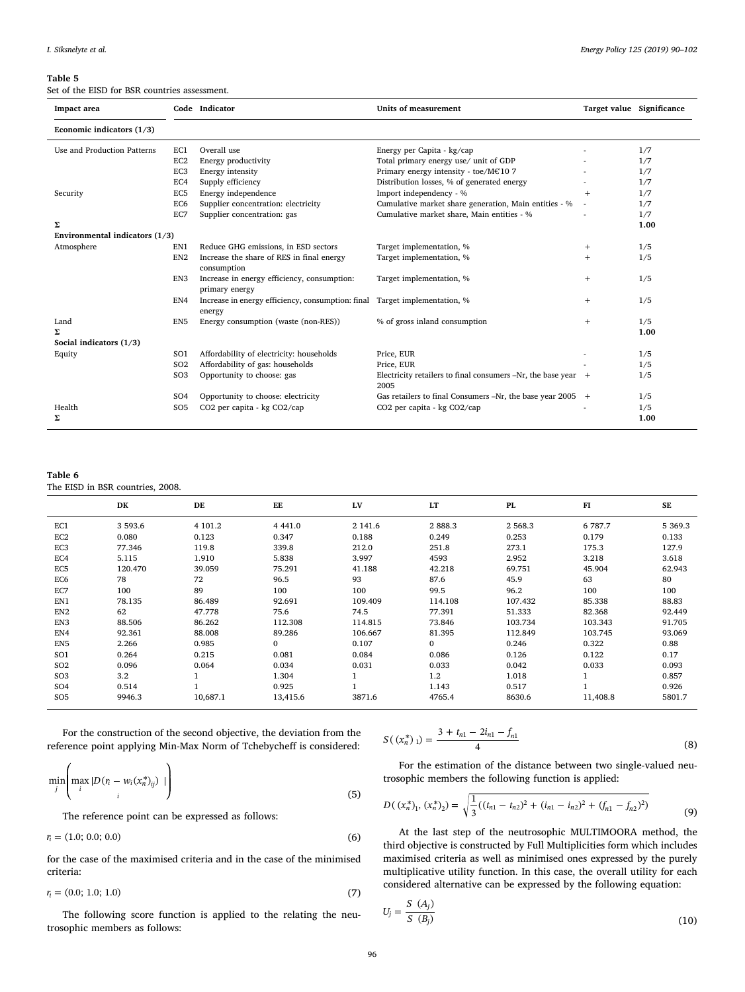#### <span id="page-6-0"></span>**Table 5**

Set of the EISD for BSR countries assessment.

| Impact area                      |                 | Code Indicator                                                | <b>Units of measurement</b>                                                |        | Target value Significance |
|----------------------------------|-----------------|---------------------------------------------------------------|----------------------------------------------------------------------------|--------|---------------------------|
| Economic indicators $(1/3)$      |                 |                                                               |                                                                            |        |                           |
| Use and Production Patterns      | EC1             | Overall use                                                   | Energy per Capita - kg/cap                                                 |        | 1/7                       |
|                                  | EC <sub>2</sub> | Energy productivity                                           | Total primary energy use/ unit of GDP                                      |        | 1/7                       |
|                                  | EC <sub>3</sub> | Energy intensity                                              | Primary energy intensity - toe/M€'10 7                                     |        | 1/7                       |
|                                  | EC <sub>4</sub> | Supply efficiency                                             | Distribution losses, % of generated energy                                 |        | 1/7                       |
| Security                         | EC <sub>5</sub> | Energy independence                                           | Import independency - %                                                    | $^{+}$ | 1/7                       |
|                                  | EC <sub>6</sub> | Supplier concentration: electricity                           | Cumulative market share generation, Main entities - %                      |        | 1/7                       |
|                                  | EC7             | Supplier concentration: gas                                   | Cumulative market share, Main entities - %                                 |        | 1/7                       |
| Σ                                |                 |                                                               |                                                                            |        | 1.00                      |
| Environmental indicators $(1/3)$ |                 |                                                               |                                                                            |        |                           |
| Atmosphere                       | EN1             | Reduce GHG emissions, in ESD sectors                          | Target implementation, %                                                   | $+$    | 1/5                       |
|                                  | EN <sub>2</sub> | Increase the share of RES in final energy<br>consumption      | Target implementation, %                                                   |        | 1/5                       |
|                                  | EN3             | Increase in energy efficiency, consumption:<br>primary energy | Target implementation, %                                                   | $^{+}$ | 1/5                       |
|                                  | EN4             | Increase in energy efficiency, consumption: final<br>energy   | Target implementation, %                                                   | $^{+}$ | 1/5                       |
| Land                             | EN <sub>5</sub> | Energy consumption (waste (non-RES))                          | % of gross inland consumption                                              | $^{+}$ | 1/5                       |
| Σ                                |                 |                                                               |                                                                            |        | 1.00                      |
| Social indicators (1/3)          |                 |                                                               |                                                                            |        |                           |
| Equity                           | SO <sub>1</sub> | Affordability of electricity: households                      | Price, EUR                                                                 |        | 1/5                       |
|                                  | SO <sub>2</sub> | Affordability of gas: households                              | Price, EUR                                                                 |        | 1/5                       |
|                                  | SO <sub>3</sub> | Opportunity to choose: gas                                    | Electricity retailers to final consumers $-Nr$ , the base year $+$<br>2005 |        | 1/5                       |
|                                  | SO <sub>4</sub> | Opportunity to choose: electricity                            | Gas retailers to final Consumers -Nr, the base year $2005 +$               |        | 1/5                       |
| Health                           | SO <sub>5</sub> | CO2 per capita - kg CO2/cap                                   | CO2 per capita - kg CO2/cap                                                |        | 1/5                       |
| Σ                                |                 |                                                               |                                                                            |        | 1.00                      |

<span id="page-6-1"></span>

The EISD in BSR countries, 2008.

|                 | DK      | DE       | EE           | LV      | LT           | PL       | F1       | <b>SE</b>   |
|-----------------|---------|----------|--------------|---------|--------------|----------|----------|-------------|
| EC1             | 3 593.6 | 4 101.2  | 4 4 4 1 .0   | 2 141.6 | 2888.3       | 2 5 68.3 | 6 787.7  | 5 3 6 9 . 3 |
| EC <sub>2</sub> | 0.080   | 0.123    | 0.347        | 0.188   | 0.249        | 0.253    | 0.179    | 0.133       |
| EC <sub>3</sub> | 77.346  | 119.8    | 339.8        | 212.0   | 251.8        | 273.1    | 175.3    | 127.9       |
| EC4             | 5.115   | 1.910    | 5.838        | 3.997   | 4593         | 2.952    | 3.218    | 3.618       |
| EC <sub>5</sub> | 120.470 | 39.059   | 75.291       | 41.188  | 42.218       | 69.751   | 45.904   | 62.943      |
| EC6             | 78      | 72       | 96.5         | 93      | 87.6         | 45.9     | 63       | 80          |
| EC7             | 100     | 89       | 100          | 100     | 99.5         | 96.2     | 100      | 100         |
| EN1             | 78.135  | 86.489   | 92.691       | 109.409 | 114.108      | 107.432  | 85.338   | 88.83       |
| EN <sub>2</sub> | 62      | 47.778   | 75.6         | 74.5    | 77.391       | 51.333   | 82.368   | 92.449      |
| EN3             | 88.506  | 86.262   | 112.308      | 114.815 | 73.846       | 103.734  | 103.343  | 91.705      |
| EN4             | 92.361  | 88.008   | 89.286       | 106.667 | 81.395       | 112.849  | 103.745  | 93.069      |
| EN <sub>5</sub> | 2.266   | 0.985    | $\mathbf{0}$ | 0.107   | $\mathbf{0}$ | 0.246    | 0.322    | 0.88        |
| SO <sub>1</sub> | 0.264   | 0.215    | 0.081        | 0.084   | 0.086        | 0.126    | 0.122    | 0.17        |
| SO <sub>2</sub> | 0.096   | 0.064    | 0.034        | 0.031   | 0.033        | 0.042    | 0.033    | 0.093       |
| SO <sub>3</sub> | 3.2     |          | 1.304        |         | 1.2          | 1.018    |          | 0.857       |
| SO <sub>4</sub> | 0.514   |          | 0.925        |         | 1.143        | 0.517    | 1        | 0.926       |
| SO <sub>5</sub> | 9946.3  | 10,687.1 | 13,415.6     | 3871.6  | 4765.4       | 8630.6   | 11,408.8 | 5801.7      |

For the construction of the second objective, the deviation from the reference point applying Min-Max Norm of Tchebycheff is considered:

$$
\min_{j} \left( \max_{i} |D(r_i - w_i(x_n^*))_j) \right) \tag{5}
$$

The reference point can be expressed as follows:

$$
r_i = (1.0; 0.0; 0.0) \tag{6}
$$

for the case of the maximised criteria and in the case of the minimised criteria:

*ri* = (0.0; 1.0; 1.0) (7)

The following score function is applied to the relating the neutrosophic members as follows:

$$
S((x_n^*)_1) = \frac{3 + t_{n1} - 2i_{n1} - f_{n1}}{4}
$$
\n(8)

For the estimation of the distance between two single-valued neutrosophic members the following function is applied:

$$
D((x_n^*)_1, (x_n^*)_2) = \sqrt{\frac{1}{3}((t_{n1} - t_{n2})^2 + (i_{n1} - i_{n2})^2 + (f_{n1} - f_{n2})^2)}
$$
(9)

At the last step of the neutrosophic MULTIMOORA method, the third objective is constructed by Full Multiplicities form which includes maximised criteria as well as minimised ones expressed by the purely multiplicative utility function. In this case, the overall utility for each considered alternative can be expressed by the following equation:

$$
U_j = \frac{S \ (A_j)}{S \ (B_j)} \tag{10}
$$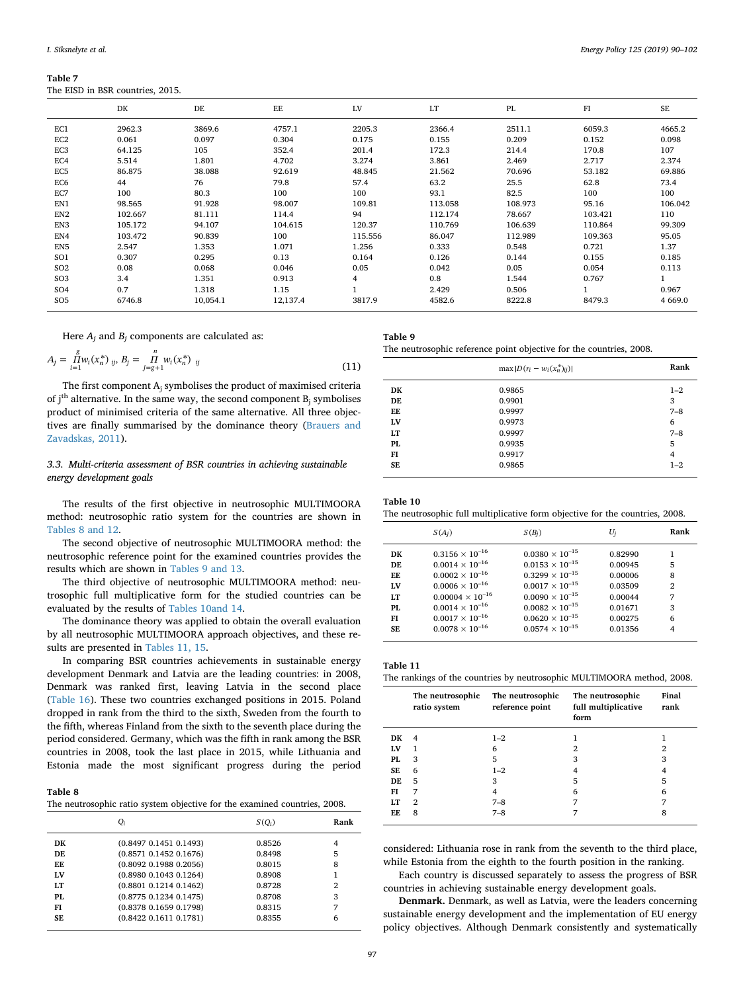#### <span id="page-7-0"></span>**Table 7** The EISD in BSR countries, 2015.

|                 | DK      | DE       | $\mathbf{EE}$ | LV      | LT      | PL.     | ${\rm FI}$ | <b>SE</b> |
|-----------------|---------|----------|---------------|---------|---------|---------|------------|-----------|
| EC1             | 2962.3  | 3869.6   | 4757.1        | 2205.3  | 2366.4  | 2511.1  | 6059.3     | 4665.2    |
| EC <sub>2</sub> | 0.061   | 0.097    | 0.304         | 0.175   | 0.155   | 0.209   | 0.152      | 0.098     |
| EC <sub>3</sub> | 64.125  | 105      | 352.4         | 201.4   | 172.3   | 214.4   | 170.8      | 107       |
| EC <sub>4</sub> | 5.514   | 1.801    | 4.702         | 3.274   | 3.861   | 2.469   | 2.717      | 2.374     |
| EC <sub>5</sub> | 86.875  | 38.088   | 92.619        | 48.845  | 21.562  | 70.696  | 53.182     | 69.886    |
| EC6             | 44      | 76       | 79.8          | 57.4    | 63.2    | 25.5    | 62.8       | 73.4      |
| EC7             | 100     | 80.3     | 100           | 100     | 93.1    | 82.5    | 100        | 100       |
| EN1             | 98.565  | 91.928   | 98.007        | 109.81  | 113.058 | 108.973 | 95.16      | 106.042   |
| EN <sub>2</sub> | 102.667 | 81.111   | 114.4         | 94      | 112.174 | 78.667  | 103.421    | 110       |
| EN <sub>3</sub> | 105.172 | 94.107   | 104.615       | 120.37  | 110.769 | 106.639 | 110.864    | 99.309    |
| EN4             | 103.472 | 90.839   | 100           | 115.556 | 86.047  | 112.989 | 109.363    | 95.05     |
| EN <sub>5</sub> | 2.547   | 1.353    | 1.071         | 1.256   | 0.333   | 0.548   | 0.721      | 1.37      |
| SO <sub>1</sub> | 0.307   | 0.295    | 0.13          | 0.164   | 0.126   | 0.144   | 0.155      | 0.185     |
| SO <sub>2</sub> | 0.08    | 0.068    | 0.046         | 0.05    | 0.042   | 0.05    | 0.054      | 0.113     |
| SO <sub>3</sub> | 3.4     | 1.351    | 0.913         | 4       | 0.8     | 1.544   | 0.767      |           |
| SO <sub>4</sub> | 0.7     | 1.318    | 1.15          |         | 2.429   | 0.506   |            | 0.967     |
| SO <sub>5</sub> | 6746.8  | 10,054.1 | 12,137.4      | 3817.9  | 4582.6  | 8222.8  | 8479.3     | 4 6 6 9.0 |

Here  $A_i$  and  $B_i$  components are calculated as:

$$
A_j = \prod_{i=1}^{g} w_i(x_n^*)_{ij}, B_j = \prod_{j=g+1}^{n} w_i(x_n^*)_{ij}
$$
\n(11)

The first component  $A_i$  symbolises the product of maximised criteria of j<sup>th</sup> alternative. In the same way, the second component  $B_j$  symbolises product of minimised criteria of the same alternative. All three objectives are finally summarised by the dominance theory [\(Brauers and](#page-11-22) [Zavadskas, 2011](#page-11-22)).

## *3.3. Multi-criteria assessment of BSR countries in achieving sustainable energy development goals*

The results of the first objective in neutrosophic MULTIMOORA method: neutrosophic ratio system for the countries are shown in [Tables 8 and 12.](#page-7-1)

The second objective of neutrosophic MULTIMOORA method: the neutrosophic reference point for the examined countries provides the results which are shown in [Tables 9 and 13](#page-7-2).

The third objective of neutrosophic MULTIMOORA method: neutrosophic full multiplicative form for the studied countries can be evaluated by the results of [Tables 10and 14.](#page-7-3)

The dominance theory was applied to obtain the overall evaluation by all neutrosophic MULTIMOORA approach objectives, and these results are presented in [Tables 11, 15.](#page-7-4)

In comparing BSR countries achievements in sustainable energy development Denmark and Latvia are the leading countries: in 2008, Denmark was ranked first, leaving Latvia in the second place ([Table 16](#page-8-0)). These two countries exchanged positions in 2015. Poland dropped in rank from the third to the sixth, Sweden from the fourth to the fifth, whereas Finland from the sixth to the seventh place during the period considered. Germany, which was the fifth in rank among the BSR countries in 2008, took the last place in 2015, while Lithuania and Estonia made the most significant progress during the period

## <span id="page-7-1"></span>**Table 8**

The neutrosophic ratio system objective for the examined countries, 2008.

| Rank           |
|----------------|
| 4              |
| 5              |
| 8              |
|                |
| $\overline{2}$ |
| 3              |
| 7              |
| 6              |
|                |

<span id="page-7-2"></span>

| ۰, |
|----|
|----|

The neutrosophic reference point objective for the countries, 2008.

|           | max $D(r_i - w_i(x_n^*)_{ij})$ | Rank    |
|-----------|--------------------------------|---------|
| DK        | 0.9865                         | $1 - 2$ |
| DE        | 0.9901                         | 3       |
| EE        | 0.9997                         | $7 - 8$ |
| LV        | 0.9973                         | 6       |
| LT        | 0.9997                         | $7 - 8$ |
| PL        | 0.9935                         | 5       |
| FI        | 0.9917                         | 4       |
| <b>SE</b> | 0.9865                         | $1 - 2$ |
|           |                                |         |

<span id="page-7-3"></span>

| Table 10                                                                     |  |
|------------------------------------------------------------------------------|--|
| The neutrosophic full multiplicative form objective for the countries, 2008. |  |

|                                          | $S(A_i)$                                                                                                                                                                                          | $S(B_i)$                                                                                                                                                                                         | $U_i$                                                                     | Rank                       |
|------------------------------------------|---------------------------------------------------------------------------------------------------------------------------------------------------------------------------------------------------|--------------------------------------------------------------------------------------------------------------------------------------------------------------------------------------------------|---------------------------------------------------------------------------|----------------------------|
| DK<br>DE<br>EE.<br>LV<br>LT.<br>PL<br>FI | $0.3156 \times 10^{-16}$<br>$0.0014 \times 10^{-16}$<br>$0.0002 \times 10^{-16}$<br>$0.0006 \times 10^{-16}$<br>$0.00004 \times 10^{-16}$<br>$0.0014 \times 10^{-16}$<br>$0.0017 \times 10^{-16}$ | $0.0380 \times 10^{-15}$<br>$0.0153 \times 10^{-15}$<br>$0.3299 \times 10^{-15}$<br>$0.0017 \times 10^{-15}$<br>$0.0090 \times 10^{-15}$<br>$0.0082 \times 10^{-15}$<br>$0.0620 \times 10^{-15}$ | 0.82990<br>0.00945<br>0.00006<br>0.03509<br>0.00044<br>0.01671<br>0.00275 | 5<br>8<br>2<br>7<br>3<br>6 |
| SE                                       | $0.0078 \times 10^{-16}$                                                                                                                                                                          | $0.0574 \times 10^{-15}$                                                                                                                                                                         | 0.01356                                                                   | 4                          |

<span id="page-7-4"></span>

| Table 11 |                                                                        |  |
|----------|------------------------------------------------------------------------|--|
|          | The rankings of the countries by neutrosophic MULTIMOORA method, 2008. |  |

|           | The neutrosophic<br>ratio system | The neutrosophic<br>reference point | The neutrosophic<br>full multiplicative<br>form | Final<br>rank |
|-----------|----------------------------------|-------------------------------------|-------------------------------------------------|---------------|
| DK        | 4                                | $1 - 2$                             |                                                 |               |
| LV        |                                  | 6                                   |                                                 | 2             |
| PL.       | 3                                | 5                                   | з                                               | 3             |
| <b>SE</b> | 6                                | $1 - 2$                             |                                                 |               |
| DE        | 5                                | 3                                   | 5                                               | 5             |
| FI        | 7                                | 4                                   | 6                                               | 6             |
| LT.       | 2                                | $7 - 8$                             |                                                 |               |
| EE        | 8                                | $7 - 8$                             |                                                 | 8             |
|           |                                  |                                     |                                                 |               |

considered: Lithuania rose in rank from the seventh to the third place, while Estonia from the eighth to the fourth position in the ranking.

Each country is discussed separately to assess the progress of BSR countries in achieving sustainable energy development goals.

**Denmark.** Denmark, as well as Latvia, were the leaders concerning sustainable energy development and the implementation of EU energy policy objectives. Although Denmark consistently and systematically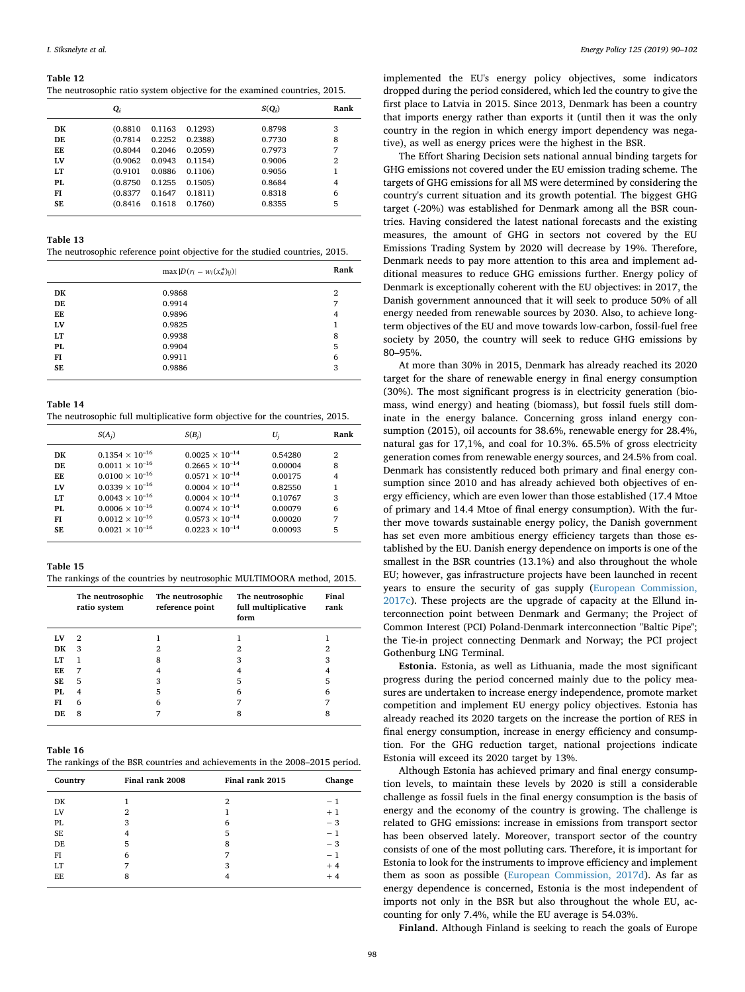#### **Table 12**

The neutrosophic ratio system objective for the examined countries, 2015.

|           | Q,       |        |         | $S(Q_i)$ | Rank |
|-----------|----------|--------|---------|----------|------|
| DK        | (0.8810) | 0.1163 | 0.1293  | 0.8798   | 3    |
| DE        | (0.7814) | 0.2252 | 0.2388  | 0.7730   | 8    |
| EE        | (0.8044) | 0.2046 | 0.2059  | 0.7973   | 7    |
| LV        | (0.9062) | 0.0943 | 0.1154) | 0.9006   | 2    |
| LT        | (0.9101) | 0.0886 | 0.1106  | 0.9056   |      |
| PL.       | (0.8750) | 0.1255 | 0.1505  | 0.8684   | 4    |
| FI        | (0.8377) | 0.1647 | 0.1811) | 0.8318   | 6    |
| <b>SE</b> | (0.8416) | 0.1618 | 0.1760  | 0.8355   | 5    |

#### **Table 13**

|     | $\max  D(r_i - w_i(x_n^*)_{ij}) $ | Rank           |
|-----|-----------------------------------|----------------|
| DK  | 0.9868                            | $\overline{2}$ |
| DE  | 0.9914                            | 7              |
| EE  | 0.9896                            | 4              |
| LV  | 0.9825                            | 1              |
| LT  | 0.9938                            | 8              |
| PL. | 0.9904                            | 5              |
| FI  | 0.9911                            | 6              |
| SE  | 0.9886                            | 3              |
|     |                                   |                |

**Table 14**

The neutrosophic full multiplicative form objective for the countries, 2015.

|                                        | $S(A_i)$                                                                                                                                                                                         | $S(B_i)$                                                                                                                                                                                         | $U_i$                                                                     | Rank                       |
|----------------------------------------|--------------------------------------------------------------------------------------------------------------------------------------------------------------------------------------------------|--------------------------------------------------------------------------------------------------------------------------------------------------------------------------------------------------|---------------------------------------------------------------------------|----------------------------|
| DK<br>DE<br>EE<br>LV<br>LT<br>PL<br>FI | $0.1354 \times 10^{-16}$<br>$0.0011 \times 10^{-16}$<br>$0.0100 \times 10^{-16}$<br>$0.0339 \times 10^{-16}$<br>$0.0043 \times 10^{-16}$<br>$0.0006 \times 10^{-16}$<br>$0.0012 \times 10^{-16}$ | $0.0025 \times 10^{-14}$<br>$0.2665 \times 10^{-14}$<br>$0.0571 \times 10^{-14}$<br>$0.0004 \times 10^{-14}$<br>$0.0004 \times 10^{-14}$<br>$0.0074 \times 10^{-14}$<br>$0.0573 \times 10^{-14}$ | 0.54280<br>0.00004<br>0.00175<br>0.82550<br>0.10767<br>0.00079<br>0.00020 | 2<br>8<br>4<br>3<br>6<br>7 |
| SE                                     | $0.0021 \times 10^{-16}$                                                                                                                                                                         | $0.0223 \times 10^{-14}$                                                                                                                                                                         | 0.00093                                                                   | 5                          |

#### **Table 15**

The rankings of the countries by neutrosophic MULTIMOORA method, 2015.

|     | The neutrosophic<br>ratio system | The neutrosophic<br>reference point | The neutrosophic<br>full multiplicative<br>form | Final<br>rank |
|-----|----------------------------------|-------------------------------------|-------------------------------------------------|---------------|
| LV  | 2                                |                                     |                                                 |               |
| DK  | 3                                | 2                                   |                                                 | 2             |
| LT. |                                  | 8                                   | 3                                               | 3             |
| EЕ  | 7                                |                                     |                                                 |               |
| SE  | 5                                | 3                                   | 5                                               | 5             |
| PL  | 4                                | 5                                   | 6                                               | 6             |
| FI  | 6                                | 6                                   |                                                 |               |
| DE  | 8                                |                                     |                                                 | 8             |

<span id="page-8-0"></span>**Table 16**

| The rankings of the BSR countries and achievements in the 2008–2015 period. |  |  |
|-----------------------------------------------------------------------------|--|--|
|-----------------------------------------------------------------------------|--|--|

| Country | Final rank 2008 | Final rank 2015 | Change      |
|---------|-----------------|-----------------|-------------|
| DK      |                 | $\overline{2}$  | $-1$        |
| LV      | 2               |                 | $+1$        |
| PL      | 3               | 6               | $-3$        |
| SE      | 4               | 5               | - 1         |
| DE      | 5               | 8               | $-3$        |
| FI      | 6               | 7               | - 1         |
| LT      | ⇁               | 3               | $+4$        |
| EE      | 8               | 4               | $^{+}$<br>4 |

implemented the EU's energy policy objectives, some indicators dropped during the period considered, which led the country to give the first place to Latvia in 2015. Since 2013, Denmark has been a country that imports energy rather than exports it (until then it was the only country in the region in which energy import dependency was negative), as well as energy prices were the highest in the BSR.

The Effort Sharing Decision sets national annual binding targets for GHG emissions not covered under the EU emission trading scheme. The targets of GHG emissions for all MS were determined by considering the country's current situation and its growth potential. The biggest GHG target (-20%) was established for Denmark among all the BSR countries. Having considered the latest national forecasts and the existing measures, the amount of GHG in sectors not covered by the EU Emissions Trading System by 2020 will decrease by 19%. Therefore, Denmark needs to pay more attention to this area and implement additional measures to reduce GHG emissions further. Energy policy of Denmark is exceptionally coherent with the EU objectives: in 2017, the Danish government announced that it will seek to produce 50% of all energy needed from renewable sources by 2030. Also, to achieve longterm objectives of the EU and move towards low-carbon, fossil-fuel free society by 2050, the country will seek to reduce GHG emissions by 80–95%.

At more than 30% in 2015, Denmark has already reached its 2020 target for the share of renewable energy in final energy consumption (30%). The most significant progress is in electricity generation (biomass, wind energy) and heating (biomass), but fossil fuels still dominate in the energy balance. Concerning gross inland energy consumption (2015), oil accounts for 38.6%, renewable energy for 28.4%, natural gas for 17,1%, and coal for 10.3%. 65.5% of gross electricity generation comes from renewable energy sources, and 24.5% from coal. Denmark has consistently reduced both primary and final energy consumption since 2010 and has already achieved both objectives of energy efficiency, which are even lower than those established (17.4 Mtoe of primary and 14.4 Mtoe of final energy consumption). With the further move towards sustainable energy policy, the Danish government has set even more ambitious energy efficiency targets than those established by the EU. Danish energy dependence on imports is one of the smallest in the BSR countries (13.1%) and also throughout the whole EU; however, gas infrastructure projects have been launched in recent years to ensure the security of gas supply [\(European Commission,](#page-11-23) [2017c](#page-11-23)). These projects are the upgrade of capacity at the Ellund interconnection point between Denmark and Germany; the Project of Common Interest (PCI) Poland-Denmark interconnection "Baltic Pipe"; the Tie-in project connecting Denmark and Norway; the PCI project Gothenburg LNG Terminal.

**Estonia.** Estonia, as well as Lithuania, made the most significant progress during the period concerned mainly due to the policy measures are undertaken to increase energy independence, promote market competition and implement EU energy policy objectives. Estonia has already reached its 2020 targets on the increase the portion of RES in final energy consumption, increase in energy efficiency and consumption. For the GHG reduction target, national projections indicate Estonia will exceed its 2020 target by 13%.

Although Estonia has achieved primary and final energy consumption levels, to maintain these levels by 2020 is still a considerable challenge as fossil fuels in the final energy consumption is the basis of energy and the economy of the country is growing. The challenge is related to GHG emissions: increase in emissions from transport sector has been observed lately. Moreover, transport sector of the country consists of one of the most polluting cars. Therefore, it is important for Estonia to look for the instruments to improve efficiency and implement them as soon as possible [\(European Commission, 2017d](#page-11-24)). As far as energy dependence is concerned, Estonia is the most independent of imports not only in the BSR but also throughout the whole EU, accounting for only 7.4%, while the EU average is 54.03%.

**Finland.** Although Finland is seeking to reach the goals of Europe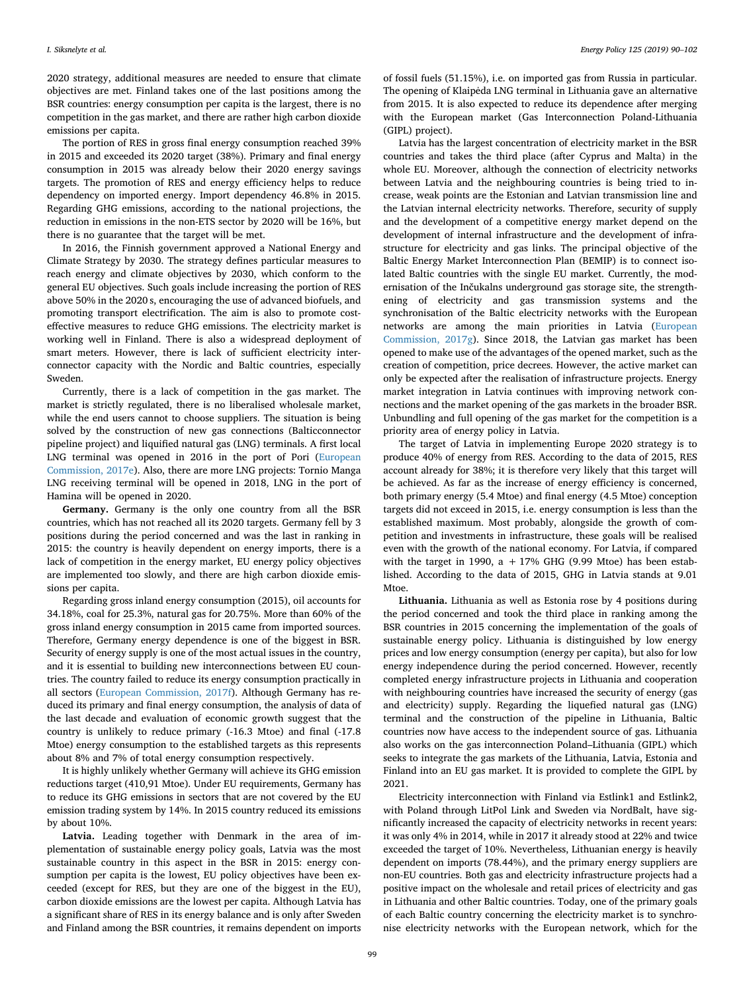2020 strategy, additional measures are needed to ensure that climate objectives are met. Finland takes one of the last positions among the BSR countries: energy consumption per capita is the largest, there is no competition in the gas market, and there are rather high carbon dioxide emissions per capita.

The portion of RES in gross final energy consumption reached 39% in 2015 and exceeded its 2020 target (38%). Primary and final energy consumption in 2015 was already below their 2020 energy savings targets. The promotion of RES and energy efficiency helps to reduce dependency on imported energy. Import dependency 46.8% in 2015. Regarding GHG emissions, according to the national projections, the reduction in emissions in the non-ETS sector by 2020 will be 16%, but there is no guarantee that the target will be met.

In 2016, the Finnish government approved a National Energy and Climate Strategy by 2030. The strategy defines particular measures to reach energy and climate objectives by 2030, which conform to the general EU objectives. Such goals include increasing the portion of RES above 50% in the 2020 s, encouraging the use of advanced biofuels, and promoting transport electrification. The aim is also to promote costeffective measures to reduce GHG emissions. The electricity market is working well in Finland. There is also a widespread deployment of smart meters. However, there is lack of sufficient electricity interconnector capacity with the Nordic and Baltic countries, especially Sweden.

Currently, there is a lack of competition in the gas market. The market is strictly regulated, there is no liberalised wholesale market, while the end users cannot to choose suppliers. The situation is being solved by the construction of new gas connections (Balticconnector pipeline project) and liquified natural gas (LNG) terminals. A first local LNG terminal was opened in 2016 in the port of Pori [\(European](#page-11-25) [Commission, 2017e\)](#page-11-25). Also, there are more LNG projects: Tornio Manga LNG receiving terminal will be opened in 2018, LNG in the port of Hamina will be opened in 2020.

**Germany.** Germany is the only one country from all the BSR countries, which has not reached all its 2020 targets. Germany fell by 3 positions during the period concerned and was the last in ranking in 2015: the country is heavily dependent on energy imports, there is a lack of competition in the energy market, EU energy policy objectives are implemented too slowly, and there are high carbon dioxide emissions per capita.

Regarding gross inland energy consumption (2015), oil accounts for 34.18%, coal for 25.3%, natural gas for 20.75%. More than 60% of the gross inland energy consumption in 2015 came from imported sources. Therefore, Germany energy dependence is one of the biggest in BSR. Security of energy supply is one of the most actual issues in the country, and it is essential to building new interconnections between EU countries. The country failed to reduce its energy consumption practically in all sectors ([European Commission, 2017f](#page-11-26)). Although Germany has reduced its primary and final energy consumption, the analysis of data of the last decade and evaluation of economic growth suggest that the country is unlikely to reduce primary (-16.3 Mtoe) and final (-17.8 Mtoe) energy consumption to the established targets as this represents about 8% and 7% of total energy consumption respectively.

It is highly unlikely whether Germany will achieve its GHG emission reductions target (410,91 Mtoe). Under EU requirements, Germany has to reduce its GHG emissions in sectors that are not covered by the EU emission trading system by 14%. In 2015 country reduced its emissions by about 10%.

**Latvia.** Leading together with Denmark in the area of implementation of sustainable energy policy goals, Latvia was the most sustainable country in this aspect in the BSR in 2015: energy consumption per capita is the lowest, EU policy objectives have been exceeded (except for RES, but they are one of the biggest in the EU), carbon dioxide emissions are the lowest per capita. Although Latvia has a significant share of RES in its energy balance and is only after Sweden and Finland among the BSR countries, it remains dependent on imports

of fossil fuels (51.15%), i.e. on imported gas from Russia in particular. The opening of Klaipėda LNG terminal in Lithuania gave an alternative from 2015. It is also expected to reduce its dependence after merging with the European market (Gas Interconnection Poland-Lithuania (GIPL) project).

Latvia has the largest concentration of electricity market in the BSR countries and takes the third place (after Cyprus and Malta) in the whole EU. Moreover, although the connection of electricity networks between Latvia and the neighbouring countries is being tried to increase, weak points are the Estonian and Latvian transmission line and the Latvian internal electricity networks. Therefore, security of supply and the development of a competitive energy market depend on the development of internal infrastructure and the development of infrastructure for electricity and gas links. The principal objective of the Baltic Energy Market Interconnection Plan (BEMIP) is to connect isolated Baltic countries with the single EU market. Currently, the modernisation of the Inčukalns underground gas storage site, the strengthening of electricity and gas transmission systems and the synchronisation of the Baltic electricity networks with the European networks are among the main priorities in Latvia [\(European](#page-11-27) [Commission, 2017g](#page-11-27)). Since 2018, the Latvian gas market has been opened to make use of the advantages of the opened market, such as the creation of competition, price decrees. However, the active market can only be expected after the realisation of infrastructure projects. Energy market integration in Latvia continues with improving network connections and the market opening of the gas markets in the broader BSR. Unbundling and full opening of the gas market for the competition is a priority area of energy policy in Latvia.

The target of Latvia in implementing Europe 2020 strategy is to produce 40% of energy from RES. According to the data of 2015, RES account already for 38%; it is therefore very likely that this target will be achieved. As far as the increase of energy efficiency is concerned, both primary energy (5.4 Mtoe) and final energy (4.5 Mtoe) conception targets did not exceed in 2015, i.e. energy consumption is less than the established maximum. Most probably, alongside the growth of competition and investments in infrastructure, these goals will be realised even with the growth of the national economy. For Latvia, if compared with the target in 1990, a  $+$  17% GHG (9.99 Mtoe) has been established. According to the data of 2015, GHG in Latvia stands at 9.01 Mtoe.

**Lithuania.** Lithuania as well as Estonia rose by 4 positions during the period concerned and took the third place in ranking among the BSR countries in 2015 concerning the implementation of the goals of sustainable energy policy. Lithuania is distinguished by low energy prices and low energy consumption (energy per capita), but also for low energy independence during the period concerned. However, recently completed energy infrastructure projects in Lithuania and cooperation with neighbouring countries have increased the security of energy (gas and electricity) supply. Regarding the liquefied natural gas (LNG) terminal and the construction of the pipeline in Lithuania, Baltic countries now have access to the independent source of gas. Lithuania also works on the gas interconnection Poland–Lithuania (GIPL) which seeks to integrate the gas markets of the Lithuania, Latvia, Estonia and Finland into an EU gas market. It is provided to complete the GIPL by 2021.

Electricity interconnection with Finland via Estlink1 and Estlink2, with Poland through LitPol Link and Sweden via NordBalt, have significantly increased the capacity of electricity networks in recent years: it was only 4% in 2014, while in 2017 it already stood at 22% and twice exceeded the target of 10%. Nevertheless, Lithuanian energy is heavily dependent on imports (78.44%), and the primary energy suppliers are non-EU countries. Both gas and electricity infrastructure projects had a positive impact on the wholesale and retail prices of electricity and gas in Lithuania and other Baltic countries. Today, one of the primary goals of each Baltic country concerning the electricity market is to synchronise electricity networks with the European network, which for the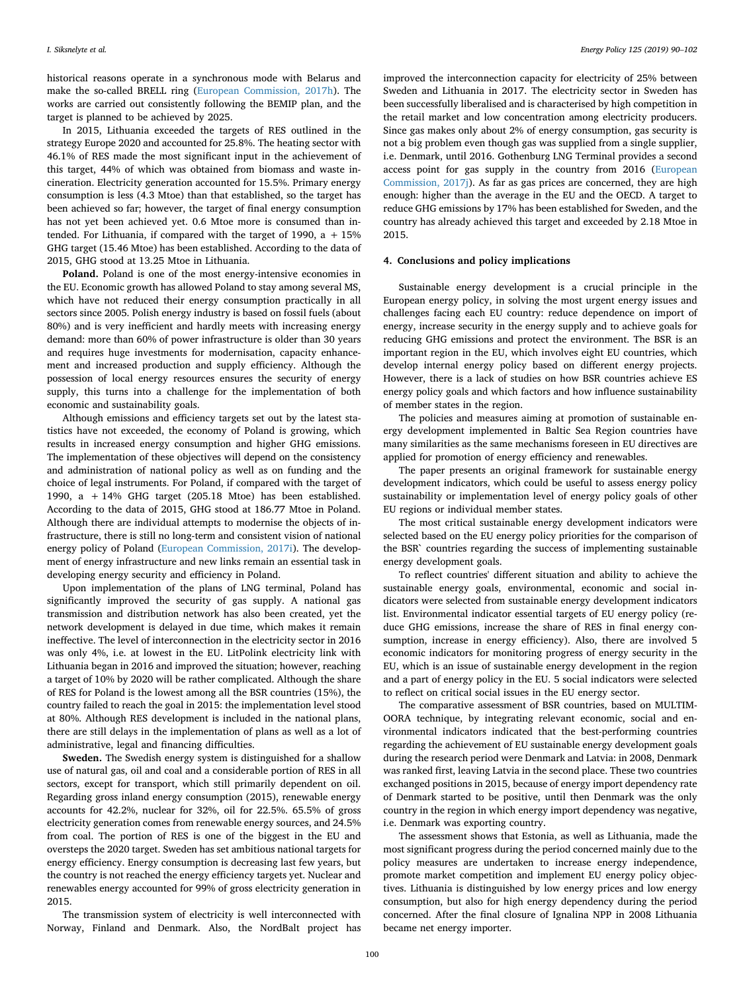historical reasons operate in a synchronous mode with Belarus and make the so-called BRELL ring ([European Commission, 2017h](#page-11-28)). The works are carried out consistently following the BEMIP plan, and the target is planned to be achieved by 2025.

In 2015, Lithuania exceeded the targets of RES outlined in the strategy Europe 2020 and accounted for 25.8%. The heating sector with 46.1% of RES made the most significant input in the achievement of this target, 44% of which was obtained from biomass and waste incineration. Electricity generation accounted for 15.5%. Primary energy consumption is less (4.3 Mtoe) than that established, so the target has been achieved so far; however, the target of final energy consumption has not yet been achieved yet. 0.6 Mtoe more is consumed than intended. For Lithuania, if compared with the target of 1990,  $a + 15\%$ GHG target (15.46 Mtoe) has been established. According to the data of 2015, GHG stood at 13.25 Mtoe in Lithuania.

Poland. Poland is one of the most energy-intensive economies in the EU. Economic growth has allowed Poland to stay among several MS, which have not reduced their energy consumption practically in all sectors since 2005. Polish energy industry is based on fossil fuels (about 80%) and is very inefficient and hardly meets with increasing energy demand: more than 60% of power infrastructure is older than 30 years and requires huge investments for modernisation, capacity enhancement and increased production and supply efficiency. Although the possession of local energy resources ensures the security of energy supply, this turns into a challenge for the implementation of both economic and sustainability goals.

Although emissions and efficiency targets set out by the latest statistics have not exceeded, the economy of Poland is growing, which results in increased energy consumption and higher GHG emissions. The implementation of these objectives will depend on the consistency and administration of national policy as well as on funding and the choice of legal instruments. For Poland, if compared with the target of 1990, a  $+14%$  GHG target (205.18 Mtoe) has been established. According to the data of 2015, GHG stood at 186.77 Mtoe in Poland. Although there are individual attempts to modernise the objects of infrastructure, there is still no long-term and consistent vision of national energy policy of Poland [\(European Commission, 2017i](#page-11-29)). The development of energy infrastructure and new links remain an essential task in developing energy security and efficiency in Poland.

Upon implementation of the plans of LNG terminal, Poland has significantly improved the security of gas supply. A national gas transmission and distribution network has also been created, yet the network development is delayed in due time, which makes it remain ineffective. The level of interconnection in the electricity sector in 2016 was only 4%, i.e. at lowest in the EU. LitPolink electricity link with Lithuania began in 2016 and improved the situation; however, reaching a target of 10% by 2020 will be rather complicated. Although the share of RES for Poland is the lowest among all the BSR countries (15%), the country failed to reach the goal in 2015: the implementation level stood at 80%. Although RES development is included in the national plans, there are still delays in the implementation of plans as well as a lot of administrative, legal and financing difficulties.

**Sweden.** The Swedish energy system is distinguished for a shallow use of natural gas, oil and coal and a considerable portion of RES in all sectors, except for transport, which still primarily dependent on oil. Regarding gross inland energy consumption (2015), renewable energy accounts for 42.2%, nuclear for 32%, oil for 22.5%. 65.5% of gross electricity generation comes from renewable energy sources, and 24.5% from coal. The portion of RES is one of the biggest in the EU and oversteps the 2020 target. Sweden has set ambitious national targets for energy efficiency. Energy consumption is decreasing last few years, but the country is not reached the energy efficiency targets yet. Nuclear and renewables energy accounted for 99% of gross electricity generation in 2015.

The transmission system of electricity is well interconnected with Norway, Finland and Denmark. Also, the NordBalt project has improved the interconnection capacity for electricity of 25% between Sweden and Lithuania in 2017. The electricity sector in Sweden has been successfully liberalised and is characterised by high competition in the retail market and low concentration among electricity producers. Since gas makes only about 2% of energy consumption, gas security is not a big problem even though gas was supplied from a single supplier, i.e. Denmark, until 2016. Gothenburg LNG Terminal provides a second access point for gas supply in the country from 2016 [\(European](#page-11-30) [Commission, 2017j\)](#page-11-30). As far as gas prices are concerned, they are high enough: higher than the average in the EU and the OECD. A target to reduce GHG emissions by 17% has been established for Sweden, and the country has already achieved this target and exceeded by 2.18 Mtoe in 2015.

## **4. Conclusions and policy implications**

Sustainable energy development is a crucial principle in the European energy policy, in solving the most urgent energy issues and challenges facing each EU country: reduce dependence on import of energy, increase security in the energy supply and to achieve goals for reducing GHG emissions and protect the environment. The BSR is an important region in the EU, which involves eight EU countries, which develop internal energy policy based on different energy projects. However, there is a lack of studies on how BSR countries achieve ES energy policy goals and which factors and how influence sustainability of member states in the region.

The policies and measures aiming at promotion of sustainable energy development implemented in Baltic Sea Region countries have many similarities as the same mechanisms foreseen in EU directives are applied for promotion of energy efficiency and renewables.

The paper presents an original framework for sustainable energy development indicators, which could be useful to assess energy policy sustainability or implementation level of energy policy goals of other EU regions or individual member states.

The most critical sustainable energy development indicators were selected based on the EU energy policy priorities for the comparison of the BSR` countries regarding the success of implementing sustainable energy development goals.

To reflect countries' different situation and ability to achieve the sustainable energy goals, environmental, economic and social indicators were selected from sustainable energy development indicators list. Environmental indicator essential targets of EU energy policy (reduce GHG emissions, increase the share of RES in final energy consumption, increase in energy efficiency). Also, there are involved 5 economic indicators for monitoring progress of energy security in the EU, which is an issue of sustainable energy development in the region and a part of energy policy in the EU. 5 social indicators were selected to reflect on critical social issues in the EU energy sector.

The comparative assessment of BSR countries, based on MULTIM-OORA technique, by integrating relevant economic, social and environmental indicators indicated that the best-performing countries regarding the achievement of EU sustainable energy development goals during the research period were Denmark and Latvia: in 2008, Denmark was ranked first, leaving Latvia in the second place. These two countries exchanged positions in 2015, because of energy import dependency rate of Denmark started to be positive, until then Denmark was the only country in the region in which energy import dependency was negative, i.e. Denmark was exporting country.

The assessment shows that Estonia, as well as Lithuania, made the most significant progress during the period concerned mainly due to the policy measures are undertaken to increase energy independence, promote market competition and implement EU energy policy objectives. Lithuania is distinguished by low energy prices and low energy consumption, but also for high energy dependency during the period concerned. After the final closure of Ignalina NPP in 2008 Lithuania became net energy importer.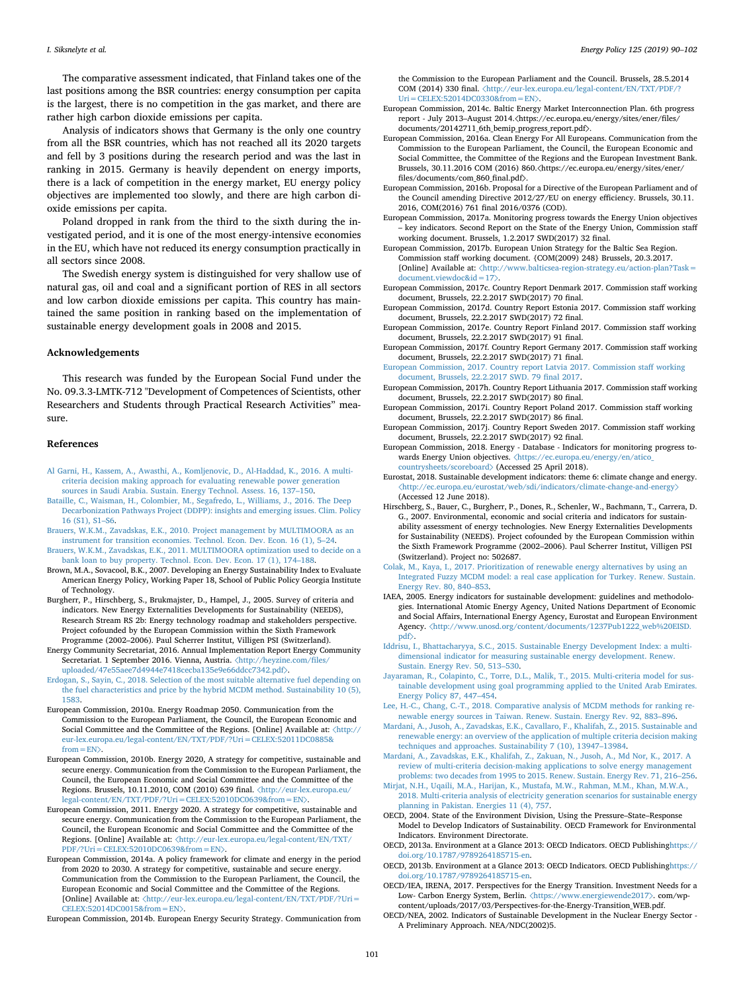The comparative assessment indicated, that Finland takes one of the last positions among the BSR countries: energy consumption per capita is the largest, there is no competition in the gas market, and there are rather high carbon dioxide emissions per capita.

Analysis of indicators shows that Germany is the only one country from all the BSR countries, which has not reached all its 2020 targets and fell by 3 positions during the research period and was the last in ranking in 2015. Germany is heavily dependent on energy imports, there is a lack of competition in the energy market, EU energy policy objectives are implemented too slowly, and there are high carbon dioxide emissions per capita.

Poland dropped in rank from the third to the sixth during the investigated period, and it is one of the most energy-intensive economies in the EU, which have not reduced its energy consumption practically in all sectors since 2008.

The Swedish energy system is distinguished for very shallow use of natural gas, oil and coal and a significant portion of RES in all sectors and low carbon dioxide emissions per capita. This country has maintained the same position in ranking based on the implementation of sustainable energy development goals in 2008 and 2015.

#### **Acknowledgements**

This research was funded by the European Social Fund under the No. 09.3.3-LMTK-712 "Development of Competences of Scientists, other Researchers and Students through Practical Research Activities" measure.

#### **References**

- <span id="page-11-6"></span>[Al Garni, H., Kassem, A., Awasthi, A., Komljenovic, D., Al-Haddad, K., 2016. A multi](http://refhub.elsevier.com/S0301-4215(18)30668-2/sbref1)[criteria decision making approach for evaluating renewable power generation](http://refhub.elsevier.com/S0301-4215(18)30668-2/sbref1) [sources in Saudi Arabia. Sustain. Energy Technol. Assess. 16, 137–150.](http://refhub.elsevier.com/S0301-4215(18)30668-2/sbref1)
- [Bataille, C., Waisman, H., Colombier, M., Segafredo, L., Williams, J., 2016. The Deep](http://refhub.elsevier.com/S0301-4215(18)30668-2/sbref2) [Decarbonization Pathways Project \(DDPP\): insights and emerging issues. Clim. Policy](http://refhub.elsevier.com/S0301-4215(18)30668-2/sbref2) [16 \(S1\), S1–S6.](http://refhub.elsevier.com/S0301-4215(18)30668-2/sbref2)
- <span id="page-11-21"></span>[Brauers, W.K.M., Zavadskas, E.K., 2010. Project management by MULTIMOORA as an](http://refhub.elsevier.com/S0301-4215(18)30668-2/sbref3) [instrument for transition economies. Technol. Econ. Dev. Econ. 16 \(1\), 5–24.](http://refhub.elsevier.com/S0301-4215(18)30668-2/sbref3)
- <span id="page-11-22"></span>[Brauers, W.K.M., Zavadskas, E.K., 2011. MULTIMOORA optimization used to decide on a](http://refhub.elsevier.com/S0301-4215(18)30668-2/sbref4) [bank loan to buy property. Technol. Econ. Dev. Econ. 17 \(1\), 174–188](http://refhub.elsevier.com/S0301-4215(18)30668-2/sbref4).
- Brown, M.A., Sovacool, B.K., 2007. Developing an Energy Sustainability Index to Evaluate American Energy Policy, Working Paper 18, School of Public Policy Georgia Institute of Technology.
- Burgherr, P., Hirschberg, S., Brukmajster, D., Hampel, J., 2005. Survey of criteria and indicators. New Energy Externalities Developments for Sustainability (NEEDS), Research Stream RS 2b: Energy technology roadmap and stakeholders perspective. Project cofounded by the European Commission within the Sixth Framework Programme (2002–2006). Paul Scherrer Institut, Villigen PSI (Switzerland).
- <span id="page-11-10"></span>Energy Community Secretariat, 2016. Annual Implementation Report Energy Community Secretariat. 1 September 2016. Vienna, Austria. [〈http://heyzine.com/files/](http://heyzine.com/files/uploaded/47e55aee7d4944e7418cecba135e9e66ddcc7342.pdf) [uploaded/47e55aee7d4944e7418cecba135e9e66ddcc7342.pdf〉](http://heyzine.com/files/uploaded/47e55aee7d4944e7418cecba135e9e66ddcc7342.pdf).
- <span id="page-11-7"></span>[Erdogan, S., Sayin, C., 2018. Selection of the most suitable alternative fuel depending on](http://refhub.elsevier.com/S0301-4215(18)30668-2/sbref5) [the fuel characteristics and price by the hybrid MCDM method. Sustainability 10 \(5\),](http://refhub.elsevier.com/S0301-4215(18)30668-2/sbref5) [1583.](http://refhub.elsevier.com/S0301-4215(18)30668-2/sbref5)
- <span id="page-11-1"></span>European Commission, 2010a. Energy Roadmap 2050. Communication from the Commission to the European Parliament, the Council, the European Economic and Social Committee and the Committee of the Regions. [Online] Available at: [〈http://](http://eur-lex.europa.eu/legal-content/EN/TXT/PDF/?Uri=CELEX:52011DC0885&from=EN) [eur-lex.europa.eu/legal-content/EN/TXT/PDF/?Uri=CELEX:52011DC0885&](http://eur-lex.europa.eu/legal-content/EN/TXT/PDF/?Uri=CELEX:52011DC0885&from=EN)  $from = EN$ .
- <span id="page-11-9"></span>European Commission, 2010b. Energy 2020, A strategy for competitive, sustainable and secure energy. Communication from the Commission to the European Parliament, the Council, the European Economic and Social Committee and the Committee of the Regions. Brussels, 10.11.2010, COM (2010) 639 final. [〈http://eur-lex.europa.eu/](http://eur-lex.europa.eu/legal-content/EN/TXT/PDF/?Uri=CELEX:52010DC0639&from=EN) [legal-content/EN/TXT/PDF/?Uri=CELEX:52010DC0639&from=EN〉.](http://eur-lex.europa.eu/legal-content/EN/TXT/PDF/?Uri=CELEX:52010DC0639&from=EN)
- <span id="page-11-0"></span>European Commission, 2011. Energy 2020. A strategy for competitive, sustainable and secure energy. Communication from the Commission to the European Parliament, the Council, the European Economic and Social Committee and the Committee of the Regions. [Online] Available at: [〈http://eur-lex.europa.eu/legal-content/EN/TXT/](http://eur-lex.europa.eu/legal-content/EN/TXT/PDF/?Uri=CELEX:52010DC0639&from=EN) [PDF/?Uri=CELEX:52010DC0639&from=EN〉.](http://eur-lex.europa.eu/legal-content/EN/TXT/PDF/?Uri=CELEX:52010DC0639&from=EN)
- European Commission, 2014a. A policy framework for climate and energy in the period from 2020 to 2030. A strategy for competitive, sustainable and secure energy. Communication from the Commission to the European Parliament, the Council, the European Economic and Social Committee and the Committee of the Regions. [Online] Available at: [〈http://eur-lex.europa.eu/legal-content/EN/TXT/PDF/?Uri=](http://eur-lex.europa.eu/legal-content/EN/TXT/PDF/?Uri=CELEX:52014DC0015&from=EN) [CELEX:52014DC0015&from=EN〉.](http://eur-lex.europa.eu/legal-content/EN/TXT/PDF/?Uri=CELEX:52014DC0015&from=EN)

<span id="page-11-11"></span>European Commission, 2014b. European Energy Security Strategy. Communication from

the Commission to the European Parliament and the Council. Brussels, 28.5.2014 COM (2014) 330 final. [〈http://eur-lex.europa.eu/legal-content/EN/TXT/PDF/?](http://eur-lex.europa.eu/legal-content/EN/TXT/PDF/?Uri=CELEX:52014DC0330&from=EN) Uri = CELEX:52014DC0330&from = EN>.

- <span id="page-11-18"></span>European Commission, 2014c. Baltic Energy Market Interconnection Plan. 6th progress report - July 2013–August 2014.〈https://ec.europa.eu/energy/sites/ener/files/ documents/20142711\_6th\_bemip\_progress\_report.pdf〉.
- <span id="page-11-15"></span>European Commission, 2016a. Clean Energy For All Europeans. Communication from the Commission to the European Parliament, the Council, the European Economic and Social Committee, the Committee of the Regions and the European Investment Bank. Brussels, 30.11.2016 COM (2016) 860.〈https://ec.europa.eu/energy/sites/ener/ files/documents/com\_860\_final.pdf〉.
- <span id="page-11-16"></span>European Commission, 2016b. Proposal for a Directive of the European Parliament and of the Council amending Directive 2012/27/EU on energy efficiency. Brussels, 30.11. 2016, COM(2016) 761 final 2016/0376 (COD).
- <span id="page-11-13"></span>European Commission, 2017a. Monitoring progress towards the Energy Union objectives – key indicators. Second Report on the State of the Energy Union, Commission staff working document. Brussels, 1.2.2017 SWD(2017) 32 final.
- <span id="page-11-17"></span>European Commission, 2017b. European Union Strategy for the Baltic Sea Region. Commission staff working document. {COM(2009) 248} Brussels, 20.3.2017. [Online] Available at: [〈http://www.balticsea-region-strategy.eu/action-plan?Task=](http://www.balticsea-region-strategy.eu/action-plan?Task=document.viewdoc&id=17) [document.viewdoc&id=17〉](http://www.balticsea-region-strategy.eu/action-plan?Task=document.viewdoc&id=17).
- <span id="page-11-23"></span>European Commission, 2017c. Country Report Denmark 2017. Commission staff working document, Brussels, 22.2.2017 SWD(2017) 70 final.
- <span id="page-11-24"></span>European Commission, 2017d. Country Report Estonia 2017. Commission staff working document, Brussels, 22.2.2017 SWD(2017) 72 final.
- <span id="page-11-25"></span>European Commission, 2017e. Country Report Finland 2017. Commission staff working document, Brussels, 22.2.2017 SWD(2017) 91 final.
- <span id="page-11-26"></span>European Commission, 2017f. Country Report Germany 2017. Commission staff working document, Brussels, 22.2.2017 SWD(2017) 71 final.

<span id="page-11-27"></span>[European Commission, 2017. Country report Latvia 2017. Commission staff working](http://refhub.elsevier.com/S0301-4215(18)30668-2/sbref6) [document, Brussels, 22.2.2017 SWD. 79 final 2017.](http://refhub.elsevier.com/S0301-4215(18)30668-2/sbref6)

- <span id="page-11-28"></span>European Commission, 2017h. Country Report Lithuania 2017. Commission staff working document, Brussels, 22.2.2017 SWD(2017) 80 final.
- <span id="page-11-29"></span>European Commission, 2017i. Country Report Poland 2017. Commission staff working document, Brussels, 22.2.2017 SWD(2017) 86 final.
- <span id="page-11-30"></span>European Commission, 2017j. Country Report Sweden 2017. Commission staff working document, Brussels, 22.2.2017 SWD(2017) 92 final.
- <span id="page-11-12"></span>European Commission, 2018. Energy - Database - Indicators for monitoring progress towards Energy Union objectives. <https://ec.europa.eu/energy/en/atico\_ [countrysheets/scoreboard〉](https://ec.europa.eu/energy/en/atico_countrysheets/scoreboard) (Accessed 25 April 2018).
- <span id="page-11-8"></span>Eurostat, 2018. Sustainable development indicators: theme 6: climate change and energy. [〈http://ec.europa.eu/eurostat/web/sdi/indicators/climate-change-and-energy〉](http://ec.europa.eu/eurostat/web/sdi/indicators/climate-change-and-energy) (Accessed 12 June 2018).
- Hirschberg, S., Bauer, C., Burgherr, P., Dones, R., Schenler, W., Bachmann, T., Carrera, D. G., 2007. Environmental, economic and social criteria and indicators for sustainability assessment of energy technologies. New Energy Externalities Developments for Sustainability (NEEDS). Project cofounded by the European Commission within the Sixth Framework Programme (2002–2006). Paul Scherrer Institut, Villigen PSI (Switzerland). Project no: 502687.
- <span id="page-11-4"></span>[Colak, M., Kaya, I., 2017. Prioritization of renewable energy alternatives by using an](http://refhub.elsevier.com/S0301-4215(18)30668-2/sbref7) [Integrated Fuzzy MCDM model: a real case application for Turkey. Renew. Sustain.](http://refhub.elsevier.com/S0301-4215(18)30668-2/sbref7) [Energy Rev. 80, 840–853.](http://refhub.elsevier.com/S0301-4215(18)30668-2/sbref7)
- <span id="page-11-20"></span>IAEA, 2005. Energy indicators for sustainable development: guidelines and methodologies. International Atomic Energy Agency, United Nations Department of Economic and Social Affairs, International Energy Agency, Eurostat and European Environment Agency. [〈http://www.unosd.org/content/documents/1237Pub1222\\_web%20EISD.](http://www.unosd.org/content/documents/1237Pub1222_web%20EISD.pdf) [pdf〉.](http://www.unosd.org/content/documents/1237Pub1222_web%20EISD.pdf)
- <span id="page-11-19"></span>[Iddrisu, I., Bhattacharyya, S.C., 2015. Sustainable Energy Development Index: a multi](http://refhub.elsevier.com/S0301-4215(18)30668-2/sbref8)[dimensional indicator for measuring sustainable energy development. Renew.](http://refhub.elsevier.com/S0301-4215(18)30668-2/sbref8) [Sustain. Energy Rev. 50, 513–530](http://refhub.elsevier.com/S0301-4215(18)30668-2/sbref8).
- <span id="page-11-2"></span>[Jayaraman, R., Colapinto, C., Torre, D.L., Malik, T., 2015. Multi-criteria model for sus](http://refhub.elsevier.com/S0301-4215(18)30668-2/sbref9)[tainable development using goal programming applied to the United Arab Emirates.](http://refhub.elsevier.com/S0301-4215(18)30668-2/sbref9) [Energy Policy 87, 447–454.](http://refhub.elsevier.com/S0301-4215(18)30668-2/sbref9)
- <span id="page-11-5"></span>[Lee, H.-C., Chang, C.-T., 2018. Comparative analysis of MCDM methods for ranking re](http://refhub.elsevier.com/S0301-4215(18)30668-2/sbref10)[newable energy sources in Taiwan. Renew. Sustain. Energy Rev. 92, 883–896](http://refhub.elsevier.com/S0301-4215(18)30668-2/sbref10).
- [Mardani, A., Jusoh, A., Zavadskas, E.K., Cavallaro, F., Khalifah, Z., 2015. Sustainable and](http://refhub.elsevier.com/S0301-4215(18)30668-2/sbref11) [renewable energy: an overview of the application of multiple criteria decision making](http://refhub.elsevier.com/S0301-4215(18)30668-2/sbref11) [techniques and approaches. Sustainability 7 \(10\), 13947–13984.](http://refhub.elsevier.com/S0301-4215(18)30668-2/sbref11)
- [Mardani, A., Zavadskas, E.K., Khalifah, Z., Zakuan, N., Jusoh, A., Md Nor, K., 2017. A](http://refhub.elsevier.com/S0301-4215(18)30668-2/sbref12) [review of multi-criteria decision-making applications to solve energy management](http://refhub.elsevier.com/S0301-4215(18)30668-2/sbref12) [problems: two decades from 1995 to 2015. Renew. Sustain. Energy Rev. 71, 216–256.](http://refhub.elsevier.com/S0301-4215(18)30668-2/sbref12)
- <span id="page-11-3"></span>[Mirjat, N.H., Uqaili, M.A., Harijan, K., Mustafa, M.W., Rahman, M.M., Khan, M.W.A.,](http://refhub.elsevier.com/S0301-4215(18)30668-2/sbref13) [2018. Multi-criteria analysis of electricity generation scenarios for sustainable energy](http://refhub.elsevier.com/S0301-4215(18)30668-2/sbref13) [planning in Pakistan. Energies 11 \(4\), 757](http://refhub.elsevier.com/S0301-4215(18)30668-2/sbref13).
- OECD, 2004. State of the Environment Division, Using the Pressure–State–Response Model to Develop Indicators of Sustainability. OECD Framework for Environmental Indicators. Environment Directorate.
- OECD, 2013a. Environment at a Glance 2013: OECD Indicators. OECD Publishing[https://](https://doi.org/10.1787/9789264185715-en) [doi.org/10.1787/9789264185715-en.](https://doi.org/10.1787/9789264185715-en)
- OECD, 2013b. Environment at a Glance 2013: OECD Indicators. OECD Publishing[https://](https://doi.org/10.1787/9789264185715-en) [doi.org/10.1787/9789264185715-en.](https://doi.org/10.1787/9789264185715-en)
- <span id="page-11-14"></span>OECD/IEA, IRENA, 2017. Perspectives for the Energy Transition. Investment Needs for a Low- Carbon Energy System, Berlin. [〈https://www.energiewende2017〉](https://www.energiewende2017). com/wpcontent/uploads/2017/03/Perspectives-for-the-Energy-Transition\_WEB.pdf.
- OECD/NEA, 2002. Indicators of Sustainable Development in the Nuclear Energy Sector A Preliminary Approach. NEA/NDC(2002)5.